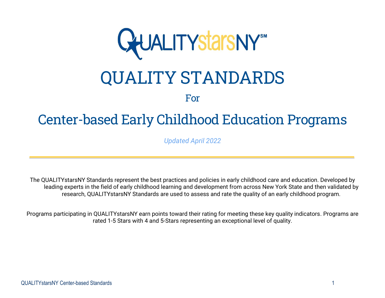

# QUALITY STANDARDS

## For

## Center-based Early Childhood Education Programs

*Updated April 2022*

The QUALITYstarsNY Standards represent the best practices and policies in early childhood care and education. Developed by leading experts in the field of early childhood learning and development from across New York State and then validated by research, QUALITYstarsNY Standards are used to assess and rate the quality of an early childhood program.

Programs participating in QUALITYstarsNY earn points toward their rating for meeting these key quality indicators. Programs are rated 1-5 Stars with 4 and 5-Stars representing an exceptional level of quality.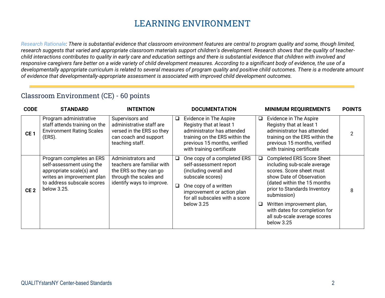## **LEARNING ENVIRONMENT**

*Research Rationale: There is substantial evidence that classroom environment features are central to program quality and some, though limited, research suggests that varied and appropriate classroom materials support children's development. Research shows that the quality of teacherchild interactions contributes to quality in early care and education settings and there is substantial evidence that children with involved and responsive caregivers fare better on a wide variety of child development measures. According to a significant body of evidence, the use of a developmentally appropriate curriculum is related to several measures of program quality and positive child outcomes. There is a moderate amount of evidence that developmentally-appropriate assessment is associated with improved child development outcomes.*

#### Classroom Environment (CE) - 60 points

| <b>CODE</b>     | <b>STANDARD</b>                                                                                                                                              | <b>INTENTION</b>                                                                                                                  |             | <b>DOCUMENTATION</b>                                                                                                                                                                                       |         | <b>MINIMUM REQUIREMENTS</b>                                                                                                                                                                                                                                                                                       | <b>POINTS</b>  |
|-----------------|--------------------------------------------------------------------------------------------------------------------------------------------------------------|-----------------------------------------------------------------------------------------------------------------------------------|-------------|------------------------------------------------------------------------------------------------------------------------------------------------------------------------------------------------------------|---------|-------------------------------------------------------------------------------------------------------------------------------------------------------------------------------------------------------------------------------------------------------------------------------------------------------------------|----------------|
| CE <sub>1</sub> | Program administrative<br>staff attends training on the<br><b>Environment Rating Scales</b><br>(ERS).                                                        | Supervisors and<br>administrative staff are<br>versed in the ERS so they<br>can coach and support<br>teaching staff.              | $\Box$      | Evidence in The Aspire<br>Registry that at least 1<br>administrator has attended<br>training on the ERS within the<br>previous 15 months, verified<br>with training certificate                            | $\Box$  | Evidence in The Aspire<br>Registry that at least 1<br>administrator has attended<br>training on the ERS within the<br>previous 15 months, verified<br>with training certificate                                                                                                                                   | $\overline{2}$ |
| CE <sub>2</sub> | Program completes an ERS<br>self-assessment using the<br>appropriate scale(s) and<br>writes an improvement plan<br>to address subscale scores<br>below 3.25. | Administrators and<br>teachers are familiar with<br>the ERS so they can go<br>through the scales and<br>identify ways to improve. | $\Box$<br>❏ | One copy of a completed ERS<br>self-assessment report<br>(including overall and<br>subscale scores)<br>One copy of a written<br>improvement or action plan<br>for all subscales with a score<br>below 3.25 | Q.<br>❏ | <b>Completed ERS Score Sheet</b><br>including sub-scale average<br>scores. Score sheet must<br>show Date of Observation<br>(dated within the 15 months<br>prior to Standards Inventory<br>submission)<br>Written improvement plan,<br>with dates for completion for<br>all sub-scale average scores<br>below 3.25 | 8              |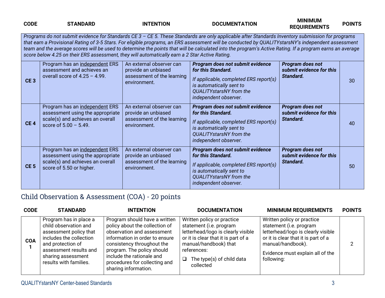| <b>CODE</b>     | <b>STANDARD</b>                                                                                                                                                                                                                                                                                                                                                                                                                                                                                                                                                      | <b>INTENTION</b>                                                                              | <b>DOCUMENTATION</b>                                                                                                                                                                    | <b>MINIMUM</b><br><b>REQUIREMENTS</b>                     | <b>POINTS</b> |  |  |  |
|-----------------|----------------------------------------------------------------------------------------------------------------------------------------------------------------------------------------------------------------------------------------------------------------------------------------------------------------------------------------------------------------------------------------------------------------------------------------------------------------------------------------------------------------------------------------------------------------------|-----------------------------------------------------------------------------------------------|-----------------------------------------------------------------------------------------------------------------------------------------------------------------------------------------|-----------------------------------------------------------|---------------|--|--|--|
|                 | Programs do not submit evidence for Standards CE 3 - CE 5. These Standards are only applicable after Standards Inventory submission for programs<br>that earn a Provisional Rating of 3-5 Stars. For eligible programs, an ERS assessment will be conducted by QUALITYstarsNY's independent assessment<br>team and the average scores will be used to determine the points that will be calculated into the program's Active Rating. If a program earns an average<br>score below 4.25 on their ERS assessment, they will automatically earn a 2 Star Active Rating. |                                                                                               |                                                                                                                                                                                         |                                                           |               |  |  |  |
| CE <sub>3</sub> | Program has an independent ERS<br>assessment and achieves an<br>overall score of $4.25 - 4.99$ .                                                                                                                                                                                                                                                                                                                                                                                                                                                                     | An external observer can<br>provide an unbiased<br>assessment of the learning<br>environment. | Program does not submit evidence<br>for this Standard.<br>If applicable, completed ERS report(s)<br>is automatically sent to<br>QUALITYstarsNY from the<br>independent observer.        | Program does not<br>submit evidence for this<br>Standard. | 30            |  |  |  |
| CE <sub>4</sub> | Program has an independent ERS<br>assessment using the appropriate<br>scale(s) and achieves an overall<br>score of $5.00 - 5.49$ .                                                                                                                                                                                                                                                                                                                                                                                                                                   | An external observer can<br>provide an unbiased<br>assessment of the learning<br>environment. | Program does not submit evidence<br>for this Standard.<br>If applicable, completed ERS report(s)<br>is automatically sent to<br><b>QUALITYstarsNY</b> from the<br>independent observer. | Program does not<br>submit evidence for this<br>Standard. | 40            |  |  |  |
| CE <sub>5</sub> | Program has an independent ERS<br>assessment using the appropriate<br>scale(s) and achieves an overall<br>score of 5.50 or higher.                                                                                                                                                                                                                                                                                                                                                                                                                                   | An external observer can<br>provide an unbiased<br>assessment of the learning<br>environment. | Program does not submit evidence<br>for this Standard.<br>If applicable, completed ERS report(s)<br>is automatically sent to<br><b>QUALITYstarsNY</b> from the<br>independent observer. | Program does not<br>submit evidence for this<br>Standard. | 50            |  |  |  |

## Child Observation & Assessment (COA) - 20 points

| <b>CODE</b> | <b>STANDARD</b>                                                                                                                                                                                     | <b>INTENTION</b>                                                                                                                                                                                                                                                                  | <b>DOCUMENTATION</b>                                                                                                                                                                                                 | <b>MINIMUM REQUIREMENTS</b>                                                                                                                                                                               | <b>POINTS</b> |
|-------------|-----------------------------------------------------------------------------------------------------------------------------------------------------------------------------------------------------|-----------------------------------------------------------------------------------------------------------------------------------------------------------------------------------------------------------------------------------------------------------------------------------|----------------------------------------------------------------------------------------------------------------------------------------------------------------------------------------------------------------------|-----------------------------------------------------------------------------------------------------------------------------------------------------------------------------------------------------------|---------------|
| <b>COA</b>  | Program has in place a<br>child observation and<br>assessment policy that<br>includes the collection<br>and protection of<br>assessment results and<br>sharing assessment<br>results with families. | Program should have a written<br>policy about the collection of<br>observation and assessment<br>information in order to ensure<br>consistency throughout the<br>program. The policy should<br>include the rationale and<br>procedures for collecting and<br>sharing information. | Written policy or practice<br>statement (i.e. program<br>letterhead/logo is clearly visible<br>or it is clear that it is part of a<br>manual/handbook) that<br>references:<br>The type(s) of child data<br>collected | Written policy or practice<br>statement (i.e. program<br>letterhead/logo is clearly visible<br>or it is clear that it is part of a<br>manual/handbook).<br>Evidence must explain all of the<br>following: |               |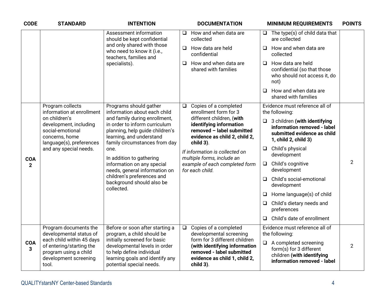| <b>CODE</b>                | <b>STANDARD</b>                                                                                                                     | <b>INTENTION</b>                                                                                                                                                                                                                                                                                                                           |                     | <b>DOCUMENTATION</b>                                                                                                         |        | <b>MINIMUM REQUIREMENTS</b>                                                                                               | <b>POINTS</b>  |
|----------------------------|-------------------------------------------------------------------------------------------------------------------------------------|--------------------------------------------------------------------------------------------------------------------------------------------------------------------------------------------------------------------------------------------------------------------------------------------------------------------------------------------|---------------------|------------------------------------------------------------------------------------------------------------------------------|--------|---------------------------------------------------------------------------------------------------------------------------|----------------|
|                            |                                                                                                                                     | Assessment information<br>should be kept confidential                                                                                                                                                                                                                                                                                      | $\Box$<br>collected | How and when data are                                                                                                        |        | $\Box$ The type(s) of child data that<br>are collected                                                                    |                |
|                            |                                                                                                                                     | and only shared with those<br>who need to know it (i.e.,<br>teachers, families and                                                                                                                                                                                                                                                         | confidential        | $\Box$ How data are held                                                                                                     | $\Box$ | How and when data are<br>collected                                                                                        |                |
|                            |                                                                                                                                     | specialists).                                                                                                                                                                                                                                                                                                                              | ❏                   | How and when data are<br>shared with families                                                                                | $\Box$ | How data are held<br>confidential (so that those<br>who should not access it, do<br>not)                                  |                |
|                            |                                                                                                                                     |                                                                                                                                                                                                                                                                                                                                            |                     |                                                                                                                              | $\Box$ | How and when data are<br>shared with families                                                                             |                |
|                            | Program collects<br>information at enrollment                                                                                       | Programs should gather<br>information about each child                                                                                                                                                                                                                                                                                     | $\Box$              | Copies of a completed<br>enrollment form for 3                                                                               |        | Evidence must reference all of<br>the following:                                                                          |                |
|                            | on children's<br>development, including<br>social-emotional<br>concerns, home<br>language(s), preferences<br>and any special needs. | and family during enrollment,<br>in order to inform curriculum<br>planning, help guide children's<br>learning, and understand<br>family circumstances from day<br>one.<br>In addition to gathering<br>information on any special<br>needs, general information on<br>children's preferences and<br>background should also be<br>collected. | child 3).           | different children, (with<br>identifying information<br>removed - label submitted<br>evidence as child 2, child 2,           |        | $\Box$ 3 children (with identifying<br>information removed - label<br>submitted evidence as child<br>1, child 2, child 3) |                |
|                            |                                                                                                                                     |                                                                                                                                                                                                                                                                                                                                            |                     | If information is collected on<br>multiple forms, include an                                                                 | $\Box$ | Child's physical<br>development                                                                                           |                |
| <b>COA</b><br>$\mathbf{2}$ |                                                                                                                                     |                                                                                                                                                                                                                                                                                                                                            | for each child.     | example of each completed form                                                                                               | $\Box$ | Child's cognitive<br>development                                                                                          | $\overline{2}$ |
|                            |                                                                                                                                     |                                                                                                                                                                                                                                                                                                                                            |                     |                                                                                                                              | $\Box$ | Child's social-emotional<br>development                                                                                   |                |
|                            |                                                                                                                                     |                                                                                                                                                                                                                                                                                                                                            |                     |                                                                                                                              | $\Box$ | Home language(s) of child                                                                                                 |                |
|                            |                                                                                                                                     |                                                                                                                                                                                                                                                                                                                                            |                     |                                                                                                                              | $\Box$ | Child's dietary needs and<br>preferences                                                                                  |                |
|                            |                                                                                                                                     |                                                                                                                                                                                                                                                                                                                                            |                     |                                                                                                                              |        | $\Box$ Child's date of enrollment                                                                                         |                |
|                            | Program documents the<br>developmental status of                                                                                    | Before or soon after starting a<br>program, a child should be                                                                                                                                                                                                                                                                              | $\Box$              | Copies of a completed<br>developmental screening                                                                             |        | Evidence must reference all of<br>the following:                                                                          |                |
| <b>COA</b><br>3            | each child within 45 days<br>of entering/starting the<br>program using a child<br>development screening<br>tool.                    | initially screened for basic<br>developmental levels in order<br>to help define individual<br>learning goals and identify any<br>potential special needs.                                                                                                                                                                                  | child 3).           | form for 3 different children<br>(with identifying information<br>removed - label submitted<br>evidence as child 1, child 2, |        | $\Box$ A completed screening<br>form(s) for 3 different<br>children (with identifying<br>information removed - label      | $\overline{2}$ |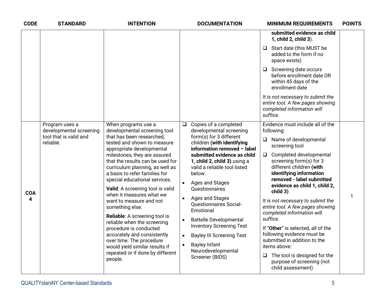| <b>CODE</b>                  | <b>STANDARD</b>                                                     | <b>INTENTION</b>                                                                                                                                                                                                                                                                                                                                                                                                                                                                                                                                                                                                                                                          |                                               | <b>DOCUMENTATION</b>                                                                                                                                                                                                                                                                                                                                                                                                                                                                                                                    | <b>POINTS</b><br><b>MINIMUM REQUIREMENTS</b>                                                                                                                                                                                                                                                                                                                                                                                                                                                                                                                                                                                           |
|------------------------------|---------------------------------------------------------------------|---------------------------------------------------------------------------------------------------------------------------------------------------------------------------------------------------------------------------------------------------------------------------------------------------------------------------------------------------------------------------------------------------------------------------------------------------------------------------------------------------------------------------------------------------------------------------------------------------------------------------------------------------------------------------|-----------------------------------------------|-----------------------------------------------------------------------------------------------------------------------------------------------------------------------------------------------------------------------------------------------------------------------------------------------------------------------------------------------------------------------------------------------------------------------------------------------------------------------------------------------------------------------------------------|----------------------------------------------------------------------------------------------------------------------------------------------------------------------------------------------------------------------------------------------------------------------------------------------------------------------------------------------------------------------------------------------------------------------------------------------------------------------------------------------------------------------------------------------------------------------------------------------------------------------------------------|
|                              |                                                                     |                                                                                                                                                                                                                                                                                                                                                                                                                                                                                                                                                                                                                                                                           |                                               |                                                                                                                                                                                                                                                                                                                                                                                                                                                                                                                                         | submitted evidence as child<br>1, child 2, child 3).                                                                                                                                                                                                                                                                                                                                                                                                                                                                                                                                                                                   |
|                              |                                                                     |                                                                                                                                                                                                                                                                                                                                                                                                                                                                                                                                                                                                                                                                           |                                               |                                                                                                                                                                                                                                                                                                                                                                                                                                                                                                                                         | $\Box$ Start date (this MUST be<br>added to the form if no<br>space exists)                                                                                                                                                                                                                                                                                                                                                                                                                                                                                                                                                            |
|                              |                                                                     |                                                                                                                                                                                                                                                                                                                                                                                                                                                                                                                                                                                                                                                                           |                                               |                                                                                                                                                                                                                                                                                                                                                                                                                                                                                                                                         | $\Box$ Screening date occurs<br>before enrollment date OR<br>within 45 days of the<br>enrollment date                                                                                                                                                                                                                                                                                                                                                                                                                                                                                                                                  |
|                              |                                                                     |                                                                                                                                                                                                                                                                                                                                                                                                                                                                                                                                                                                                                                                                           |                                               |                                                                                                                                                                                                                                                                                                                                                                                                                                                                                                                                         | It is not necessary to submit the<br>entire tool. A few pages showing<br>completed information will<br>suffice.                                                                                                                                                                                                                                                                                                                                                                                                                                                                                                                        |
| reliable.<br><b>COA</b><br>4 | Program uses a<br>developmental screening<br>tool that is valid and | When programs use a<br>developmental screening tool<br>that has been researched,<br>tested and shown to measure<br>appropriate developmental<br>milestones, they are assured<br>that the results can be used for<br>curriculum planning, as well as<br>a basis to refer families for<br>special educational services.<br>Valid: A screening tool is valid<br>when it measures what we<br>want to measure and not<br>something else.<br>Reliable: A screening tool is<br>reliable when the screening<br>procedure is conducted<br>accurately and consistently<br>over time. The procedure<br>would yield similar results if<br>repeated or if done by different<br>people. | $\Box$<br>$\bullet$<br>$\bullet$<br>$\bullet$ | Copies of a completed<br>developmental screening<br>form(s) for 3 different<br>children (with identifying<br>information removed - label<br>submitted evidence as child<br>1, child 2, child 3) using a<br>valid a reliable tool listed<br>below.<br>Ages and Stages<br><b>Ouestionnaires</b><br>Ages and Stages<br><b>Questionnaires Social-</b><br>Emotional<br><b>Battelle Developmental</b><br><b>Inventory Screening Test</b><br><b>Bayley III Screening Test</b><br><b>Bayley Infant</b><br>Neurodevelopmental<br>Screener (BIDS) | Evidence must include all of the<br>following:<br>$\Box$ Name of developmental<br>screening tool<br>Completed developmental<br>$\Box$<br>screening form(s) for 3<br>different children (with<br>identifying information<br>removed - label submitted<br>evidence as child 1, child 2,<br>child 3)<br>1<br>It is not necessary to submit the<br>entire tool. A few pages showing<br>completed information will<br>suffice.<br>If "Other" is selected, all of the<br>following evidence must be<br>submitted in addition to the<br>items above:<br>$\Box$ The tool is designed for the<br>purpose of screening (not<br>child assessment) |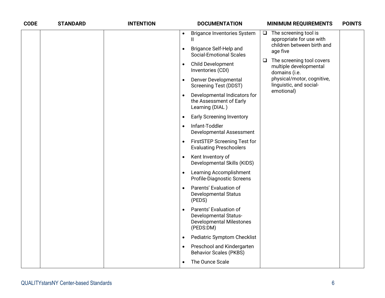| <b>CODE</b> | <b>STANDARD</b> | <b>INTENTION</b> |           | <b>DOCUMENTATION</b>                                                                                   |        | <b>MINIMUM REQUIREMENTS</b>                                          | <b>POINTS</b> |
|-------------|-----------------|------------------|-----------|--------------------------------------------------------------------------------------------------------|--------|----------------------------------------------------------------------|---------------|
|             |                 |                  | $\bullet$ | <b>Brigance Inventories System</b><br>Ш                                                                | $\Box$ | The screening tool is<br>appropriate for use with                    |               |
|             |                 |                  | $\bullet$ | Brigance Self-Help and<br><b>Social-Emotional Scales</b>                                               |        | children between birth and<br>age five                               |               |
|             |                 |                  | $\bullet$ | <b>Child Development</b><br>Inventories (CDI)                                                          | $\Box$ | The screening tool covers<br>multiple developmental<br>domains (i.e. |               |
|             |                 |                  | $\bullet$ | Denver Developmental<br><b>Screening Test (DDST)</b>                                                   |        | physical/motor, cognitive,<br>linguistic, and social-                |               |
|             |                 |                  |           | Developmental Indicators for<br>the Assessment of Early<br>Learning (DIAL)                             |        | emotional)                                                           |               |
|             |                 |                  | $\bullet$ | <b>Early Screening Inventory</b>                                                                       |        |                                                                      |               |
|             |                 |                  | $\bullet$ | Infant-Toddler<br>Developmental Assessment                                                             |        |                                                                      |               |
|             |                 |                  | $\bullet$ | <b>FirstSTEP Screening Test for</b><br><b>Evaluating Preschoolers</b>                                  |        |                                                                      |               |
|             |                 |                  | $\bullet$ | Kent Inventory of<br>Developmental Skills (KIDS)                                                       |        |                                                                      |               |
|             |                 |                  | $\bullet$ | Learning Accomplishment<br>Profile-Diagnostic Screens                                                  |        |                                                                      |               |
|             |                 |                  |           | Parents' Evaluation of<br><b>Developmental Status</b><br>(PEDS)                                        |        |                                                                      |               |
|             |                 |                  |           | Parents' Evaluation of<br><b>Developmental Status-</b><br><b>Developmental Milestones</b><br>(PEDS:DM) |        |                                                                      |               |
|             |                 |                  | $\bullet$ | <b>Pediatric Symptom Checklist</b>                                                                     |        |                                                                      |               |
|             |                 |                  | $\bullet$ | Preschool and Kindergarten<br><b>Behavior Scales (PKBS)</b>                                            |        |                                                                      |               |
|             |                 |                  | $\bullet$ | The Ounce Scale                                                                                        |        |                                                                      |               |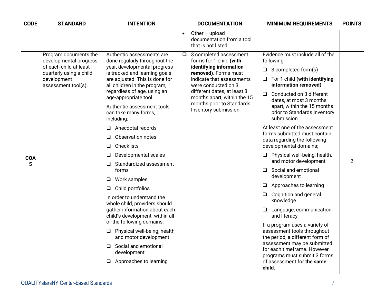| <b>CODE</b>     | <b>STANDARD</b>                                                                                                                            | <b>INTENTION</b>                                                                                                                                                                                                                                                                                                                                                                                                                                                                                                                                                                                                                                                                                                                                                                                                                   | <b>DOCUMENTATION</b><br><b>MINIMUM REQUIREMENTS</b>                                                                                                                                                                                                                                                                                                                                                                                                                                                                                                                                                                                                                                                                                                                                                                                                                                                                                                                                                                                                                                                                                                                                  | <b>POINTS</b>  |
|-----------------|--------------------------------------------------------------------------------------------------------------------------------------------|------------------------------------------------------------------------------------------------------------------------------------------------------------------------------------------------------------------------------------------------------------------------------------------------------------------------------------------------------------------------------------------------------------------------------------------------------------------------------------------------------------------------------------------------------------------------------------------------------------------------------------------------------------------------------------------------------------------------------------------------------------------------------------------------------------------------------------|--------------------------------------------------------------------------------------------------------------------------------------------------------------------------------------------------------------------------------------------------------------------------------------------------------------------------------------------------------------------------------------------------------------------------------------------------------------------------------------------------------------------------------------------------------------------------------------------------------------------------------------------------------------------------------------------------------------------------------------------------------------------------------------------------------------------------------------------------------------------------------------------------------------------------------------------------------------------------------------------------------------------------------------------------------------------------------------------------------------------------------------------------------------------------------------|----------------|
|                 |                                                                                                                                            |                                                                                                                                                                                                                                                                                                                                                                                                                                                                                                                                                                                                                                                                                                                                                                                                                                    | Other - upload<br>documentation from a tool<br>that is not listed                                                                                                                                                                                                                                                                                                                                                                                                                                                                                                                                                                                                                                                                                                                                                                                                                                                                                                                                                                                                                                                                                                                    |                |
| <b>COA</b><br>5 | Program documents the<br>developmental progress<br>of each child at least<br>quarterly using a child<br>development<br>assessment tool(s). | Authentic assessments are<br>done regularly throughout the<br>year, developmental progress<br>is tracked and learning goals<br>are adjusted. This is done for<br>all children in the program,<br>regardless of age, using an<br>age-appropriate tool.<br>Authentic assessment tools<br>can take many forms,<br>including:<br>Anecdotal records<br>□<br>Observation notes<br>❏<br>Checklists<br>❏<br>Developmental scales<br>❏<br>Standardized assessment<br>Q.<br>forms<br>Work samples<br>⊔<br>Child portfolios<br>⊔<br>In order to understand the<br>whole child, providers should<br>gather information about each<br>child's development within all<br>of the following domains:<br>Physical well-being, health,<br>⊔<br>and motor development<br>Social and emotional<br>$\Box$<br>development<br>Approaches to learning<br>⊔ | Evidence must include all of the<br>3 completed assessment<br>$\Box$<br>forms for 1 child (with<br>following:<br>identifying information<br>3 completed form(s)<br>□<br>removed). Forms must<br>For 1 child (with identifying<br>indicate that assessments<br>⊔<br>information removed)<br>were conducted on 3<br>different dates, at least 3<br>Conducted on 3 different<br>$\Box$<br>months apart, within the 15<br>dates, at most 3 months<br>months prior to Standards<br>apart, within the 15 months<br>Inventory submission<br>prior to Standards Inventory<br>submission<br>At least one of the assessment<br>forms submitted must contain<br>data regarding the following<br>developmental domains;<br>Physical well-being, health,<br>❏.<br>and motor development<br>Social and emotional<br>development<br>Approaches to learning<br>❏.<br>Cognition and general<br>□<br>knowledge<br>□ Language, communication,<br>and literacy<br>If a program uses a variety of<br>assessment tools throughout<br>the period, a different form of<br>assessment may be submitted<br>for each timeframe. However<br>programs must submit 3 forms<br>of assessment for the same<br>child. | $\overline{2}$ |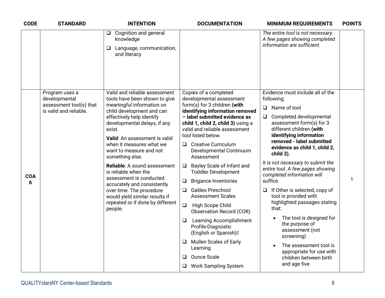| <b>CODE</b> | <b>STANDARD</b>                                                                                           | <b>INTENTION</b>                                                                                        | <b>DOCUMENTATION</b>                                                                                                                    | <b>MINIMUM REQUIREMENTS</b>                                                                                                                                                                     | <b>POINTS</b> |
|-------------|-----------------------------------------------------------------------------------------------------------|---------------------------------------------------------------------------------------------------------|-----------------------------------------------------------------------------------------------------------------------------------------|-------------------------------------------------------------------------------------------------------------------------------------------------------------------------------------------------|---------------|
|             |                                                                                                           | Cognition and general<br>$\Box$<br>knowledge<br>Language, communication,<br>⊔<br>and literacy           |                                                                                                                                         | The entire tool is not necessary.<br>A few pages showing completed<br>information are sufficient.                                                                                               |               |
|             |                                                                                                           |                                                                                                         |                                                                                                                                         |                                                                                                                                                                                                 |               |
|             | Program uses a<br>developmental                                                                           | Valid and reliable assessment<br>tools have been shown to give                                          | Copies of a completed<br>developmental assessment                                                                                       | Evidence must include all of the<br>following:                                                                                                                                                  |               |
|             | assessment tool(s) that                                                                                   | meaningful information on                                                                               | form(s) for 3 children (with                                                                                                            | Name of tool<br>$\Box$                                                                                                                                                                          |               |
|             | is valid and reliable.<br>exist.                                                                          | child development and can<br>effectively help identify<br>developmental delays, if any                  | identifying information removed<br>- label submitted evidence as<br>child 1, child 2, child 3) using a<br>valid and reliable assessment | Completed developmental<br>$\Box$<br>assessment form(s) for 3<br>different children (with<br>identifying information<br>removed - label submitted<br>evidence as child 1, child 2,<br>child 3). |               |
|             |                                                                                                           | Valid: An assessment is valid<br>when it measures what we<br>want to measure and not<br>something else. | tool listed below.<br>$\Box$ Creative Curriculum<br>Developmental Continuum<br>Assessment                                               |                                                                                                                                                                                                 |               |
| <b>COA</b>  |                                                                                                           | Reliable: A sound assessment<br>is reliable when the                                                    | Bayley Scale of Infant and<br>❏<br><b>Toddler Development</b>                                                                           | It is not necessary to submit the<br>entire tool. A few pages showing<br>completed information will                                                                                             |               |
| 6           |                                                                                                           | assessment is conducted<br>accurately and consistently                                                  | <b>Brigance Inventories</b><br>⊔                                                                                                        | suffice.                                                                                                                                                                                        | 1             |
|             | over time. The procedure<br>would yield similar results if<br>repeated or if done by different<br>people. |                                                                                                         | Galileo Preschool<br>$\Box$<br><b>Assessment Scales</b>                                                                                 | If Other is selected, copy of<br>⊔<br>tool is provided with                                                                                                                                     |               |
|             |                                                                                                           |                                                                                                         | $\Box$<br>High Scope Child<br><b>Observation Record (COR)</b>                                                                           | highlighted passages stating<br>that:                                                                                                                                                           |               |
|             |                                                                                                           |                                                                                                         | <b>Learning Accomplishment</b><br>❏<br>Profile-Diagnostic<br>(English or Spanish)                                                       | The tool is designed for<br>the purpose of<br>assessment (not<br>screening)                                                                                                                     |               |
|             |                                                                                                           |                                                                                                         | Mullen Scales of Early<br>Learning                                                                                                      | The assessment tool is<br>appropriate for use with                                                                                                                                              |               |
|             |                                                                                                           |                                                                                                         | Ounce Scale<br>◻                                                                                                                        | children between birth                                                                                                                                                                          |               |
|             |                                                                                                           |                                                                                                         | <b>Work Sampling System</b>                                                                                                             | and age five                                                                                                                                                                                    |               |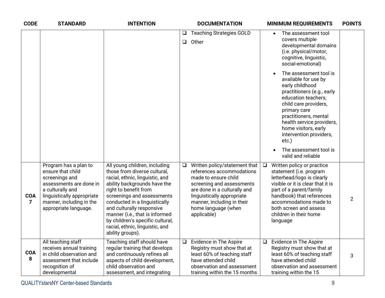| <b>CODE</b>                  | <b>STANDARD</b>                                                                                                                                                                                | <b>INTENTION</b>                                                                                                                                                                                                                                                                                                                                                                   |                  | <b>DOCUMENTATION</b>                                                                                                                                                                                                                              |        | <b>MINIMUM REQUIREMENTS</b>                                                                                                                                                                                                                                                       | <b>POINTS</b>  |
|------------------------------|------------------------------------------------------------------------------------------------------------------------------------------------------------------------------------------------|------------------------------------------------------------------------------------------------------------------------------------------------------------------------------------------------------------------------------------------------------------------------------------------------------------------------------------------------------------------------------------|------------------|---------------------------------------------------------------------------------------------------------------------------------------------------------------------------------------------------------------------------------------------------|--------|-----------------------------------------------------------------------------------------------------------------------------------------------------------------------------------------------------------------------------------------------------------------------------------|----------------|
|                              |                                                                                                                                                                                                |                                                                                                                                                                                                                                                                                                                                                                                    | $\Box$<br>$\Box$ | <b>Teaching Strategies GOLD</b><br>Other                                                                                                                                                                                                          |        | The assessment tool<br>$\bullet$<br>covers multiple<br>developmental domains<br>(i.e. physical/motor,<br>cognitive, linguistic,<br>social-emotional)                                                                                                                              |                |
|                              |                                                                                                                                                                                                |                                                                                                                                                                                                                                                                                                                                                                                    |                  |                                                                                                                                                                                                                                                   |        | The assessment tool is<br>available for use by<br>early childhood<br>practitioners (e.g., early<br>education teachers,<br>child care providers,<br>primary care<br>practitioners, mental<br>health service providers,<br>home visitors, early<br>intervention providers,<br>etc.) |                |
|                              |                                                                                                                                                                                                |                                                                                                                                                                                                                                                                                                                                                                                    |                  |                                                                                                                                                                                                                                                   |        | The assessment tool is<br>valid and reliable                                                                                                                                                                                                                                      |                |
| <b>COA</b><br>$\overline{7}$ | Program has a plan to<br>ensure that child<br>screenings and<br>assessments are done in<br>a culturally and<br>linguistically appropriate<br>manner, including in the<br>appropriate language. | All young children, including<br>those from diverse cultural,<br>racial, ethnic, linguistic, and<br>ability backgrounds have the<br>right to benefit from<br>screenings and assessments<br>conducted in a linguistically<br>and culturally responsive<br>manner (i.e., that is informed<br>by children's specific cultural,<br>racial, ethnic, linguistic, and<br>ability groups). | $\Box$           | Written policy/statement that<br>references accommodations<br>made to ensure child<br>screening and assessments<br>are done in a culturally and<br>linguistically appropriate<br>manner, including in their<br>home language (when<br>applicable) | $\Box$ | Written policy or practice<br>statement (i.e. program<br>letterhead/logo is clearly<br>visible or it is clear that it is<br>part of a parent/family<br>handbook) that references<br>accommodations made to<br>both screen and assess<br>children in their home<br>language        | $\overline{2}$ |
| <b>COA</b><br>8              | All teaching staff<br>receives annual training<br>in child observation and<br>assessment that include<br>recognition of<br>developmental                                                       | Teaching staff should have<br>regular training that develops<br>and continuously refines all<br>aspects of child development,<br>child observation and<br>assessment, and integrating                                                                                                                                                                                              | $\Box$           | Evidence in The Aspire<br>Registry must show that at<br>least 60% of teaching staff<br>have attended child<br>observation and assessment<br>training within the 15 months                                                                         | ❏      | Evidence in The Aspire<br>Registry must show that at<br>least 60% of teaching staff<br>have attended child<br>observation and assessment<br>training within the 15                                                                                                                | 3              |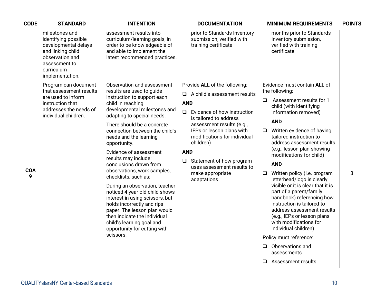| <b>CODE</b>     | <b>STANDARD</b>                                                                                                                                          | <b>INTENTION</b>                                                                                                                                                                                                                                                                                                                                                                                                                                                                                                                                                                                                                                                                                      | <b>DOCUMENTATION</b>                                                                                                                                                                                                                                                                                                                                                                 | <b>MINIMUM REQUIREMENTS</b>                                                                                                                                                                                                                                                                                                                                                                                                                                                                                                                                                                                                                                                                                                                         | <b>POINTS</b> |
|-----------------|----------------------------------------------------------------------------------------------------------------------------------------------------------|-------------------------------------------------------------------------------------------------------------------------------------------------------------------------------------------------------------------------------------------------------------------------------------------------------------------------------------------------------------------------------------------------------------------------------------------------------------------------------------------------------------------------------------------------------------------------------------------------------------------------------------------------------------------------------------------------------|--------------------------------------------------------------------------------------------------------------------------------------------------------------------------------------------------------------------------------------------------------------------------------------------------------------------------------------------------------------------------------------|-----------------------------------------------------------------------------------------------------------------------------------------------------------------------------------------------------------------------------------------------------------------------------------------------------------------------------------------------------------------------------------------------------------------------------------------------------------------------------------------------------------------------------------------------------------------------------------------------------------------------------------------------------------------------------------------------------------------------------------------------------|---------------|
|                 | milestones and<br>identifying possible<br>developmental delays<br>and linking child<br>observation and<br>assessment to<br>curriculum<br>implementation. | assessment results into<br>curriculum/learning goals, in<br>order to be knowledgeable of<br>and able to implement the<br>latest recommended practices.                                                                                                                                                                                                                                                                                                                                                                                                                                                                                                                                                | prior to Standards Inventory<br>submission, verified with<br>training certificate                                                                                                                                                                                                                                                                                                    | months prior to Standards<br>Inventory submission,<br>verified with training<br>certificate                                                                                                                                                                                                                                                                                                                                                                                                                                                                                                                                                                                                                                                         |               |
| <b>COA</b><br>9 | Program can document<br>that assessment results<br>are used to inform<br>instruction that<br>addresses the needs of<br>individual children.              | Observation and assessment<br>results are used to guide<br>instruction to support each<br>child in reaching<br>developmental milestones and<br>adapting to special needs.<br>There should be a concrete<br>connection between the child's<br>needs and the learning<br>opportunity.<br>Evidence of assessment<br>results may include:<br>conclusions drawn from<br>observations, work samples,<br>checklists, such as:<br>During an observation, teacher<br>noticed 4 year old child shows<br>interest in using scissors, but<br>holds incorrectly and rips<br>paper. The lesson plan would<br>then indicate the individual<br>child's learning goal and<br>opportunity for cutting with<br>scissors. | Provide ALL of the following:<br>A child's assessment results<br>$\Box$<br><b>AND</b><br>Evidence of how instruction<br>$\Box$<br>is tailored to address<br>assessment results (e.g.,<br>IEPs or lesson plans with<br>modifications for individual<br>children)<br><b>AND</b><br>Statement of how program<br>$\Box$<br>uses assessment results to<br>make appropriate<br>adaptations | Evidence must contain ALL of<br>the following:<br>Assessment results for 1<br>$\Box$<br>child (with identifying<br>information removed)<br><b>AND</b><br>Written evidence of having<br>$\Box$<br>tailored instruction to<br>address assessment results<br>(e.g., lesson plan showing<br>modifications for child)<br><b>AND</b><br>Written policy (i.e. program<br>$\Box$<br>letterhead/logo is clearly<br>visible or it is clear that it is<br>part of a parent/family<br>handbook) referencing how<br>instruction is tailored to<br>address assessment results<br>(e.g., IEPs or lesson plans<br>with modifications for<br>individual children)<br>Policy must reference:<br>Observations and<br>$\Box$<br>assessments<br>Assessment results<br>Q. | 3             |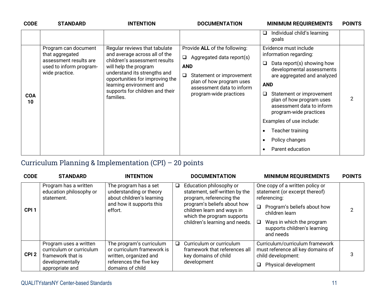| <b>CODE</b>      | <b>STANDARD</b>                                                   | <b>INTENTION</b>                                                                                                                                                     | <b>DOCUMENTATION</b>                                                                                                           | <b>MINIMUM REQUIREMENTS</b>                                                                                                                                                                                                                                   | <b>POINTS</b>  |
|------------------|-------------------------------------------------------------------|----------------------------------------------------------------------------------------------------------------------------------------------------------------------|--------------------------------------------------------------------------------------------------------------------------------|---------------------------------------------------------------------------------------------------------------------------------------------------------------------------------------------------------------------------------------------------------------|----------------|
|                  | Program can document<br>that aggregated<br>assessment results are | Regular reviews that tabulate<br>and average across all of the<br>children's assessment results                                                                      | Provide ALL of the following:<br>Aggregated data report(s)<br>❏                                                                | Individual child's learning<br>u<br>goals<br>Evidence must include<br>information regarding:<br>Data report(s) showing how<br>❏                                                                                                                               |                |
| <b>COA</b><br>10 | used to inform program-<br>wide practice.                         | will help the program<br>understand its strengths and<br>opportunities for improving the<br>learning environment and<br>supports for children and their<br>families. | <b>AND</b><br>Statement or improvement<br>❏<br>plan of how program uses<br>assessment data to inform<br>program-wide practices | developmental assessments<br>are aggregated and analyzed<br><b>AND</b><br>Statement or improvement<br>Q.<br>plan of how program uses<br>assessment data to inform<br>program-wide practices<br>Examples of use include:<br>Teacher training<br>Policy changes | $\overline{2}$ |
|                  |                                                                   |                                                                                                                                                                      |                                                                                                                                | Parent education                                                                                                                                                                                                                                              |                |

### Curriculum Planning & Implementation (CPI) – 20 points

| <b>CODE</b>      | <b>STANDARD</b>                                                                                               | <b>INTENTION</b>                                                                                                                |        | <b>DOCUMENTATION</b>                                                                                                                                                                                               | <b>MINIMUM REQUIREMENTS</b>                                                                                                                                                                                                  | <b>POINTS</b> |
|------------------|---------------------------------------------------------------------------------------------------------------|---------------------------------------------------------------------------------------------------------------------------------|--------|--------------------------------------------------------------------------------------------------------------------------------------------------------------------------------------------------------------------|------------------------------------------------------------------------------------------------------------------------------------------------------------------------------------------------------------------------------|---------------|
| CPI <sub>1</sub> | Program has a written<br>education philosophy or<br>statement.                                                | The program has a set<br>understanding or theory<br>about children's learning<br>and how it supports this<br>effort.            | $\Box$ | Education philosophy or<br>statement, self-written by the<br>program, referencing the<br>program's beliefs about how<br>children learn and ways in<br>which the program supports<br>children's learning and needs. | One copy of a written policy or<br>statement (or excerpt thereof)<br>referencing:<br>$\Box$<br>Program's beliefs about how<br>children learn<br>Ways in which the program<br>Q.<br>supports children's learning<br>and needs |               |
| CPI <sub>2</sub> | Program uses a written<br>curriculum or curriculum<br>framework that is<br>developmentally<br>appropriate and | The program's curriculum<br>or curriculum framework is<br>written, organized and<br>references the five key<br>domains of child | $\Box$ | Curriculum or curriculum<br>framework that references all<br>key domains of child<br>development                                                                                                                   | Curriculum/curriculum framework<br>must reference all key domains of<br>child development:<br>Physical development                                                                                                           | 3             |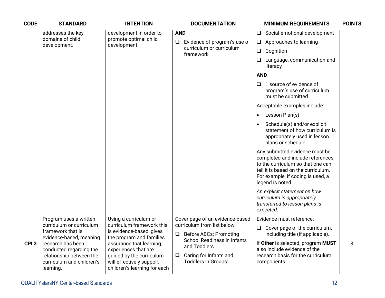| <b>CODE</b>      | <b>STANDARD</b>                                                                                                                                                                                                          | <b>INTENTION</b>                                                                                                                                                                                                                                      | <b>DOCUMENTATION</b>                                                                                                                                                                                                       | <b>MINIMUM REQUIREMENTS</b>                                                                                                                                                                                                                                                                                                                                                                                                                                                                                                                                                                                                                                            | <b>POINTS</b> |
|------------------|--------------------------------------------------------------------------------------------------------------------------------------------------------------------------------------------------------------------------|-------------------------------------------------------------------------------------------------------------------------------------------------------------------------------------------------------------------------------------------------------|----------------------------------------------------------------------------------------------------------------------------------------------------------------------------------------------------------------------------|------------------------------------------------------------------------------------------------------------------------------------------------------------------------------------------------------------------------------------------------------------------------------------------------------------------------------------------------------------------------------------------------------------------------------------------------------------------------------------------------------------------------------------------------------------------------------------------------------------------------------------------------------------------------|---------------|
|                  | addresses the key<br>domains of child<br>development.                                                                                                                                                                    | development in order to<br>promote optimal child<br>development.                                                                                                                                                                                      | <b>AND</b><br>Evidence of program's use of<br>$\Box$<br>curriculum or curriculum<br>framework                                                                                                                              | Social-emotional development<br>$\Box$<br>Approaches to learning<br>$\Box$<br>Cognition<br>$\Box$<br>$\Box$<br>Language, communication and<br>literacy<br><b>AND</b><br>1 source of evidence of<br>0<br>program's use of curriculum<br>must be submitted.<br>Acceptable examples include:<br>Lesson Plan(s)<br>$\bullet$<br>Schedule(s) and/or explicit<br>$\bullet$<br>statement of how curriculum is<br>appropriately used in lesson<br>plans or schedule<br>Any submitted evidence must be<br>completed and include references<br>to the curriculum so that one can<br>tell it is based on the curriculum.<br>For example, if coding is used, a<br>legend is noted. |               |
|                  |                                                                                                                                                                                                                          |                                                                                                                                                                                                                                                       |                                                                                                                                                                                                                            | An explicit statement on how<br>curriculum is appropriately<br>transferred to lesson plans is<br>expected.                                                                                                                                                                                                                                                                                                                                                                                                                                                                                                                                                             |               |
| CPI <sub>3</sub> | Program uses a written<br>curriculum or curriculum<br>framework that is<br>evidence-based, meaning<br>research has been<br>conducted regarding the<br>relationship between the<br>curriculum and children's<br>learning. | Using a curriculum or<br>curriculum framework this<br>is evidence-based, gives<br>the program and families<br>assurance that learning<br>experiences that are<br>guided by the curriculum<br>will effectively support<br>children's learning for each | Cover page of an evidence-based<br>curriculum from list below:<br><b>Before ABCs: Promoting</b><br>$\Box$<br><b>School Readiness in Infants</b><br>and Toddlers<br>Caring for Infants and<br>$\Box$<br>Toddlers in Groups: | Evidence must reference:<br>$\Box$ Cover page of the curriculum,<br>including title (if applicable).<br>If Other is selected, program MUST<br>also include evidence of the<br>research basis for the curriculum<br>components.                                                                                                                                                                                                                                                                                                                                                                                                                                         | 3             |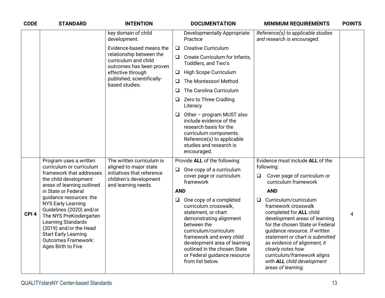| <b>CODE</b>      | <b>STANDARD</b>                                                                                                                                                                                                                                | <b>INTENTION</b>                                                               |            | <b>DOCUMENTATION</b>                                                                                                                                                                                                                                                                        |        | <b>MINIMUM REQUIREMENTS</b>                                                                                                                                                                                                                                                                                                                             | <b>POINTS</b> |
|------------------|------------------------------------------------------------------------------------------------------------------------------------------------------------------------------------------------------------------------------------------------|--------------------------------------------------------------------------------|------------|---------------------------------------------------------------------------------------------------------------------------------------------------------------------------------------------------------------------------------------------------------------------------------------------|--------|---------------------------------------------------------------------------------------------------------------------------------------------------------------------------------------------------------------------------------------------------------------------------------------------------------------------------------------------------------|---------------|
|                  |                                                                                                                                                                                                                                                | key domain of child<br>development.                                            |            | <b>Developmentally Appropriate</b><br>Practice                                                                                                                                                                                                                                              |        | Reference(s) to applicable studies<br>and research is encouraged.                                                                                                                                                                                                                                                                                       |               |
|                  |                                                                                                                                                                                                                                                | Evidence-based means the                                                       | $\Box$     | <b>Creative Curriculum</b>                                                                                                                                                                                                                                                                  |        |                                                                                                                                                                                                                                                                                                                                                         |               |
|                  |                                                                                                                                                                                                                                                | relationship between the<br>curriculum and child<br>outcomes has been proven   | $\Box$     | Create Curriculum for Infants,<br>Toddlers, and Two's                                                                                                                                                                                                                                       |        |                                                                                                                                                                                                                                                                                                                                                         |               |
|                  |                                                                                                                                                                                                                                                | effective through                                                              | $\Box$     | High Scope Curriculum                                                                                                                                                                                                                                                                       |        |                                                                                                                                                                                                                                                                                                                                                         |               |
|                  |                                                                                                                                                                                                                                                | published, scientifically-<br>based studies.                                   | $\Box$     | The Montessori Method                                                                                                                                                                                                                                                                       |        |                                                                                                                                                                                                                                                                                                                                                         |               |
|                  |                                                                                                                                                                                                                                                |                                                                                | $\Box$     | The Carolina Curriculum                                                                                                                                                                                                                                                                     |        |                                                                                                                                                                                                                                                                                                                                                         |               |
|                  |                                                                                                                                                                                                                                                |                                                                                | $\Box$     | Zero to Three Cradling<br>Literacy                                                                                                                                                                                                                                                          |        |                                                                                                                                                                                                                                                                                                                                                         |               |
|                  |                                                                                                                                                                                                                                                |                                                                                | $\Box$     | Other - program MUST also<br>include evidence of the<br>research basis for the<br>curriculum components.<br>Reference(s) to applicable<br>studies and research is<br>encouraged.                                                                                                            |        |                                                                                                                                                                                                                                                                                                                                                         |               |
|                  | Program uses a written                                                                                                                                                                                                                         | The written curriculum is                                                      |            | Provide ALL of the following:                                                                                                                                                                                                                                                               |        | Evidence must include ALL of the                                                                                                                                                                                                                                                                                                                        |               |
|                  | curriculum or curriculum<br>framework that addresses<br>the child development                                                                                                                                                                  | aligned to major state<br>initiatives that reference<br>children's development | $\Box$     | One copy of a curriculum<br>cover page or curriculum<br>framework                                                                                                                                                                                                                           | $\Box$ | following:<br>Cover page of curriculum or<br>curriculum framework                                                                                                                                                                                                                                                                                       |               |
|                  | areas of learning outlined<br>in State or Federal                                                                                                                                                                                              | and learning needs.                                                            | <b>AND</b> |                                                                                                                                                                                                                                                                                             |        | <b>AND</b>                                                                                                                                                                                                                                                                                                                                              |               |
| CPI <sub>4</sub> | guidance resources: the<br><b>NYS Early Learning</b><br>Guidelines (2020) and/or<br>The NYS PreKindergarten<br>Learning Standards<br>(2019) and/or the Head<br><b>Start Early Learning</b><br><b>Outcomes Framework:</b><br>Ages Birth to Five |                                                                                | $\Box$     | One copy of a completed<br>curriculum crosswalk,<br>statement, or chart<br>demonstrating alignment<br>between the<br>curriculum/curriculum<br>framework and every child<br>development area of learning<br>outlined in the chosen State<br>or Federal guidance resource<br>from list below. | ❏      | Curriculum/curriculum<br>framework crosswalk<br>completed for ALL child<br>development areas of learning<br>for the chosen State or Federal<br>guidance resource. If written<br>statement or chart is submitted<br>as evidence of alignment, it<br>clearly notes how<br>curriculum/framework aligns<br>with ALL child development<br>areas of learning. | 4             |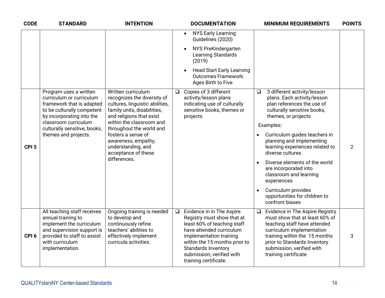| <b>CODE</b>      | <b>STANDARD</b>                                                                                                                                                                  | <b>INTENTION</b>                                                                                                                                |        | <b>DOCUMENTATION</b>                                                                                                                                                                                                                                        |           | <b>MINIMUM REQUIREMENTS</b>                                                                                                                                                                                                                          | <b>POINTS</b>  |
|------------------|----------------------------------------------------------------------------------------------------------------------------------------------------------------------------------|-------------------------------------------------------------------------------------------------------------------------------------------------|--------|-------------------------------------------------------------------------------------------------------------------------------------------------------------------------------------------------------------------------------------------------------------|-----------|------------------------------------------------------------------------------------------------------------------------------------------------------------------------------------------------------------------------------------------------------|----------------|
|                  |                                                                                                                                                                                  |                                                                                                                                                 |        | <b>NYS Early Learning</b><br>$\bullet$<br>Guidelines (2020)                                                                                                                                                                                                 |           |                                                                                                                                                                                                                                                      |                |
|                  |                                                                                                                                                                                  |                                                                                                                                                 |        | NYS PreKindergarten<br>Learning Standards<br>(2019)                                                                                                                                                                                                         |           |                                                                                                                                                                                                                                                      |                |
|                  |                                                                                                                                                                                  |                                                                                                                                                 |        | <b>Head Start Early Learning</b><br><b>Outcomes Framework:</b><br>Ages Birth to Five                                                                                                                                                                        |           |                                                                                                                                                                                                                                                      |                |
|                  | Program uses a written<br>curriculum or curriculum<br>framework that is adapted<br>to be culturally competent<br>by incorporating into the                                       | Written curriculum<br>recognizes the diversity of<br>cultures, linguistic abilities,<br>family units, disabilities,<br>and religions that exist | $\Box$ | Copies of 3 different<br>activity/lesson plans<br>indicating use of culturally<br>sensitive books, themes or<br>projects                                                                                                                                    | $\Box$    | 3 different activity/lesson<br>plans. Each activity/lesson<br>plan references the use of<br>culturally sensitive books,<br>themes, or projects                                                                                                       |                |
| CPI <sub>5</sub> | classroom curriculum<br>culturally sensitive, books,<br>themes and projects.                                                                                                     | within the classroom and<br>throughout the world and<br>fosters a sense of<br>awareness, empathy,<br>understanding, and<br>acceptance of these  |        |                                                                                                                                                                                                                                                             |           | Examples:                                                                                                                                                                                                                                            |                |
|                  |                                                                                                                                                                                  |                                                                                                                                                 |        |                                                                                                                                                                                                                                                             |           | Curriculum guides teachers in<br>planning and implementing<br>learning experiences related to<br>diverse cultures                                                                                                                                    | $\overline{2}$ |
|                  |                                                                                                                                                                                  | differences.                                                                                                                                    |        |                                                                                                                                                                                                                                                             | $\bullet$ | Diverse elements of the world<br>are incorporated into<br>classroom and learning<br>experiences                                                                                                                                                      |                |
|                  |                                                                                                                                                                                  |                                                                                                                                                 |        |                                                                                                                                                                                                                                                             |           | Curriculum provides<br>opportunities for children to<br>confront biases                                                                                                                                                                              |                |
| CPI <sub>6</sub> | All teaching staff receives<br>annual training to<br>implement the curriculum<br>and supervision support is<br>provided to staff to assist<br>with curriculum<br>implementation. | Ongoing training is needed<br>to develop and<br>continuously refine<br>teachers' abilities to<br>effectively implement<br>curricula activities. | $\Box$ | Evidence in in The Aspire<br>Registry must show that at<br>least 60% of teaching staff<br>have attended curriculum<br>implementation training<br>within the 15 months prior to<br>Standards Inventory<br>submission, verified with<br>training certificate. | $\Box$    | Evidence in The Aspire Registry<br>must show that at least 60% of<br>teaching staff have attended<br>curriculum implementation<br>training within the 15 months<br>prior to Standards Inventory<br>submission, verified with<br>training certificate | 3              |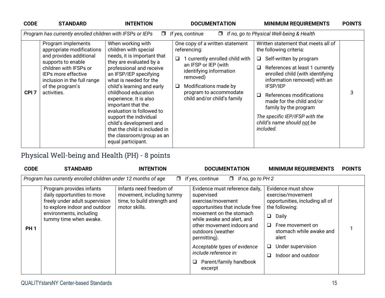| <b>CODE</b>      | <b>STANDARD</b>                                                                     | <b>INTENTION</b>                                                                                                                                                   | <b>DOCUMENTATION</b><br><b>MINIMUM REQUIREMENTS</b>                                                                                                                                              | <b>POINTS</b> |
|------------------|-------------------------------------------------------------------------------------|--------------------------------------------------------------------------------------------------------------------------------------------------------------------|--------------------------------------------------------------------------------------------------------------------------------------------------------------------------------------------------|---------------|
|                  | Program has currently enrolled children with IFSPs or IEPs                          | $\Box$                                                                                                                                                             | If no, go to Physical Well-being & Health<br>If yes, continue<br>$\Box$                                                                                                                          |               |
|                  | Program implements<br>appropriate modifications                                     | When working with<br>children with special                                                                                                                         | One copy of a written statement<br>Written statement that meets all of<br>referencing:<br>the following criteria:                                                                                |               |
|                  | and provides additional<br>supports to enable                                       | needs, it is important that<br>they are evaluated by a                                                                                                             | 1 currently enrolled child with<br>$\Box$ Self-written by program<br>$\Box$                                                                                                                      |               |
|                  | children with IFSPs or<br><b>IEPs more effective</b><br>inclusion in the full range | professional and receive<br>an IFSP/IEP specifying<br>what is needed for the                                                                                       | an IFSP or IEP (with<br>References at least 1 currently<br>$\Box$<br>identifying information<br>enrolled child (with identifying<br>removed)<br>information removed) with an                     |               |
| CPI <sub>7</sub> | of the program's<br>activities.                                                     | child's learning and early<br>childhood education<br>experience. It is also<br>important that the                                                                  | Modifications made by<br>IFSP/IEP<br>$\Box$<br>program to accommodate<br>References modifications<br>$\Box$<br>child and/or child's family<br>made for the child and/or<br>family by the program |               |
|                  |                                                                                     | evaluation is followed to<br>support the individual<br>child's development and<br>that the child is included in<br>the classroom/group as an<br>equal participant. | The specific IEP/IFSP with the<br>child's name should not be<br>included.                                                                                                                        |               |

## Physical Well-being and Health (PH) - 8 points

| <b>CODE</b> | <b>STANDARD</b>                                                                                                                                                                 | <b>INTENTION</b>                                                                                     | <b>DOCUMENTATION</b>                                                                                                                                                                                                                                                                                                                | <b>MINIMUM REQUIREMENTS</b>                                                                                                                                                                                                            | <b>POINTS</b> |
|-------------|---------------------------------------------------------------------------------------------------------------------------------------------------------------------------------|------------------------------------------------------------------------------------------------------|-------------------------------------------------------------------------------------------------------------------------------------------------------------------------------------------------------------------------------------------------------------------------------------------------------------------------------------|----------------------------------------------------------------------------------------------------------------------------------------------------------------------------------------------------------------------------------------|---------------|
|             | Program has currently enrolled children under 12 months of age                                                                                                                  |                                                                                                      | $\Box$ If yes, continue<br>$\Box$ If no, go to PH 2                                                                                                                                                                                                                                                                                 |                                                                                                                                                                                                                                        |               |
| <b>PH1</b>  | Program provides infants<br>daily opportunities to move<br>freely under adult supervision<br>to explore indoor and outdoor<br>environments, including<br>tummy time when awake. | Infants need freedom of<br>movement, including tummy<br>time, to build strength and<br>motor skills. | Evidence must reference daily,<br>supervised<br>exercise/movement<br>opportunities that include free<br>movement on the stomach<br>while awake and alert, and<br>other movement indoors and<br>outdoors (weather<br>permitting).<br>Acceptable types of evidence<br>include reference in:<br>Parent/family handbook<br>❏<br>excerpt | Evidence must show<br>exercise/movement<br>opportunities, including all of<br>the following:<br>$\Box$<br>Daily<br>Free movement on<br>□<br>stomach while awake and<br>alert<br>Under supervision<br>❏<br>Indoor and outdoor<br>$\Box$ |               |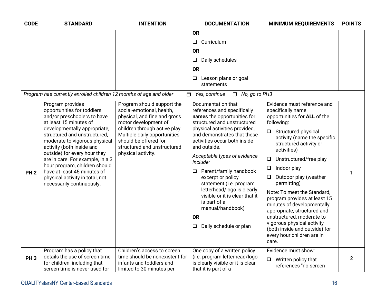| <b>CODE</b>     | <b>STANDARD</b>                                                                                                                                                                                                                                                                                                                                                                                                                           | <b>INTENTION</b>                                                                                                                                                                                                                                               | <b>DOCUMENTATION</b>                                                                                                                                                                                                                                                                                                                                                                                                                                                                                                 | <b>MINIMUM REQUIREMENTS</b>                                                                                                                                                                                                                                                                                                                                                                                                                                                                                                                                                        | <b>POINTS</b>  |
|-----------------|-------------------------------------------------------------------------------------------------------------------------------------------------------------------------------------------------------------------------------------------------------------------------------------------------------------------------------------------------------------------------------------------------------------------------------------------|----------------------------------------------------------------------------------------------------------------------------------------------------------------------------------------------------------------------------------------------------------------|----------------------------------------------------------------------------------------------------------------------------------------------------------------------------------------------------------------------------------------------------------------------------------------------------------------------------------------------------------------------------------------------------------------------------------------------------------------------------------------------------------------------|------------------------------------------------------------------------------------------------------------------------------------------------------------------------------------------------------------------------------------------------------------------------------------------------------------------------------------------------------------------------------------------------------------------------------------------------------------------------------------------------------------------------------------------------------------------------------------|----------------|
|                 |                                                                                                                                                                                                                                                                                                                                                                                                                                           |                                                                                                                                                                                                                                                                | <b>OR</b><br>Curriculum<br>$\Box$<br><b>OR</b><br>Daily schedules<br>$\Box$<br><b>OR</b><br>$\Box$<br>Lesson plans or goal<br>statements                                                                                                                                                                                                                                                                                                                                                                             |                                                                                                                                                                                                                                                                                                                                                                                                                                                                                                                                                                                    |                |
|                 | Program has currently enrolled children 12 months of age and older                                                                                                                                                                                                                                                                                                                                                                        |                                                                                                                                                                                                                                                                | $\Box$ No, go to PH3<br>$\Box$ Yes, continue                                                                                                                                                                                                                                                                                                                                                                                                                                                                         |                                                                                                                                                                                                                                                                                                                                                                                                                                                                                                                                                                                    |                |
| PH <sub>2</sub> | Program provides<br>opportunities for toddlers<br>and/or preschoolers to have<br>at least 15 minutes of<br>developmentally appropriate,<br>structured and unstructured,<br>moderate to vigorous physical<br>activity (both inside and<br>outside) for every hour they<br>are in care. For example, in a 3<br>hour program, children should<br>have at least 45 minutes of<br>physical activity in total, not<br>necessarily continuously. | Program should support the<br>social-emotional, health,<br>physical, and fine and gross<br>motor development of<br>children through active play.<br>Multiple daily opportunities<br>should be offered for<br>structured and unstructured<br>physical activity. | Documentation that<br>references and specifically<br>names the opportunities for<br>structured and unstructured<br>physical activities provided,<br>and demonstrates that these<br>activities occur both inside<br>and outside.<br>Acceptable types of evidence<br>include:<br>Parent/family handbook<br>$\Box$<br>excerpt or policy<br>statement (i.e. program<br>letterhead/logo is clearly<br>visible or it is clear that it<br>is part of a<br>manual/handbook)<br><b>OR</b><br>Daily schedule or plan<br>$\Box$ | Evidence must reference and<br>specifically name<br>opportunities for ALL of the<br>following:<br>$\Box$ Structured physical<br>activity (name the specific<br>structured activity or<br>activities)<br>Unstructured/free play<br>$\Box$<br>Indoor play<br>$\Box$<br>Outdoor play (weather<br>$\Box$<br>permitting)<br>Note: To meet the Standard,<br>program provides at least 15<br>minutes of developmentally<br>appropriate, structured and<br>unstructured, moderate to<br>vigorous physical activity<br>(both inside and outside) for<br>every hour children are in<br>care. | 1              |
| PH <sub>3</sub> | Program has a policy that<br>details the use of screen time<br>for children, including that<br>screen time is never used for                                                                                                                                                                                                                                                                                                              | Children's access to screen<br>time should be nonexistent for<br>infants and toddlers and<br>limited to 30 minutes per                                                                                                                                         | One copy of a written policy<br>(i.e. program letterhead/logo<br>is clearly visible or it is clear<br>that it is part of a                                                                                                                                                                                                                                                                                                                                                                                           | Evidence must show:<br>$\Box$ Written policy that<br>references "no screen                                                                                                                                                                                                                                                                                                                                                                                                                                                                                                         | $\overline{2}$ |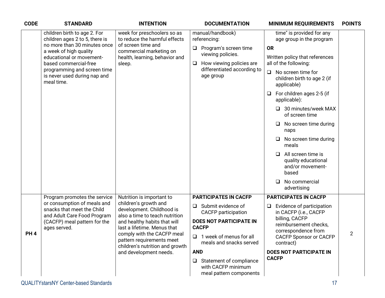| <b>CODE</b> | <b>STANDARD</b>                                                                                                                                                                                                                                            | <b>INTENTION</b>                                                                                                                                                                                                                                                                                         | <b>DOCUMENTATION</b>                                                                                                                                                                                                                                                                                             | <b>MINIMUM REQUIREMENTS</b>                                                                                                                                                                                                                                                                                                                                                                                                                                                                             | <b>POINTS</b>  |
|-------------|------------------------------------------------------------------------------------------------------------------------------------------------------------------------------------------------------------------------------------------------------------|----------------------------------------------------------------------------------------------------------------------------------------------------------------------------------------------------------------------------------------------------------------------------------------------------------|------------------------------------------------------------------------------------------------------------------------------------------------------------------------------------------------------------------------------------------------------------------------------------------------------------------|---------------------------------------------------------------------------------------------------------------------------------------------------------------------------------------------------------------------------------------------------------------------------------------------------------------------------------------------------------------------------------------------------------------------------------------------------------------------------------------------------------|----------------|
|             | children birth to age 2. For<br>children ages 2 to 5, there is<br>no more than 30 minutes once<br>a week of high quality<br>educational or movement-<br>based commercial-free<br>programming and screen time<br>is never used during nap and<br>meal time. | week for preschoolers so as<br>to reduce the harmful effects<br>of screen time and<br>commercial marketing on<br>health, learning, behavior and<br>sleep.                                                                                                                                                | manual/handbook)<br>referencing:<br>Program's screen time<br>$\Box$<br>viewing policies.<br>How viewing policies are<br>$\Box$<br>differentiated according to<br>age group                                                                                                                                       | time" is provided for any<br>age group in the program<br><b>OR</b><br>Written policy that references<br>all of the following:<br>No screen time for<br>$\Box$<br>children birth to age 2 (if<br>applicable)<br>For children ages 2-5 (if<br>$\Box$<br>applicable):<br>30 minutes/week MAX<br>of screen time<br>No screen time during<br>⊔<br>naps<br>No screen time during<br>meals<br>All screen time is<br>□<br>quality educational<br>and/or movement-<br>based<br>No commercial<br>◻<br>advertising |                |
| <b>PH4</b>  | Program promotes the service<br>or consumption of meals and<br>snacks that meet the Child<br>and Adult Care Food Program<br>(CACFP) meal pattern for the<br>ages served.                                                                                   | Nutrition is important to<br>children's growth and<br>development. Childhood is<br>also a time to teach nutrition<br>and healthy habits that will<br>last a lifetime. Menus that<br>comply with the CACFP meal<br>pattern requirements meet<br>children's nutrition and growth<br>and development needs. | <b>PARTICIPATES IN CACFP</b><br>Submit evidence of<br>$\Box$<br><b>CACFP</b> participation<br><b>DOES NOT PARTICIPATE IN</b><br><b>CACFP</b><br>1 week of menus for all<br>$\Box$<br>meals and snacks served<br><b>AND</b><br>Statement of compliance<br>$\Box$<br>with CACFP minimum<br>meal pattern components | <b>PARTICIPATES IN CACFP</b><br>Evidence of participation<br>$\Box$<br>in CACFP (i.e., CACFP<br>billing, CACFP<br>reimbursement checks,<br>correspondence from<br><b>CACFP Sponsor or CACFP</b><br>contract)<br><b>DOES NOT PARTICIPATE IN</b><br><b>CACFP</b>                                                                                                                                                                                                                                          | $\overline{2}$ |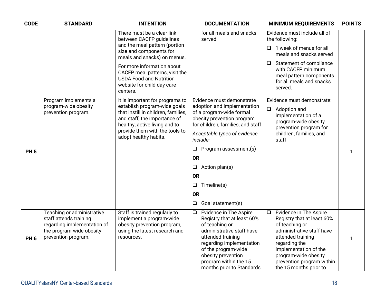| <b>CODE</b>     | <b>STANDARD</b>                                                                                                                        | <b>INTENTION</b>                                                                                                                                                                                | <b>DOCUMENTATION</b>                                                                                                                                                                                                                                              | <b>MINIMUM REQUIREMENTS</b>                                                                                                                                                                                                                                 | <b>POINTS</b> |
|-----------------|----------------------------------------------------------------------------------------------------------------------------------------|-------------------------------------------------------------------------------------------------------------------------------------------------------------------------------------------------|-------------------------------------------------------------------------------------------------------------------------------------------------------------------------------------------------------------------------------------------------------------------|-------------------------------------------------------------------------------------------------------------------------------------------------------------------------------------------------------------------------------------------------------------|---------------|
|                 |                                                                                                                                        | There must be a clear link<br>between CACFP guidelines                                                                                                                                          | for all meals and snacks<br>served                                                                                                                                                                                                                                | Evidence must include all of<br>the following:                                                                                                                                                                                                              |               |
|                 |                                                                                                                                        | and the meal pattern (portion<br>size and components for<br>meals and snacks) on menus.                                                                                                         |                                                                                                                                                                                                                                                                   | 1 week of menus for all<br>$\Box$<br>meals and snacks served                                                                                                                                                                                                |               |
|                 |                                                                                                                                        | For more information about<br>CACFP meal patterns, visit the<br><b>USDA Food and Nutrition</b><br>website for child day care<br>centers.                                                        |                                                                                                                                                                                                                                                                   | $\Box$ Statement of compliance<br>with CACFP minimum<br>meal pattern components<br>for all meals and snacks<br>served.                                                                                                                                      |               |
|                 | Program implements a                                                                                                                   | It is important for programs to                                                                                                                                                                 | Evidence must demonstrate                                                                                                                                                                                                                                         | Evidence must demonstrate:                                                                                                                                                                                                                                  |               |
|                 | program-wide obesity<br>prevention program.                                                                                            | establish program-wide goals<br>that instill in children, families,<br>and staff, the importance of<br>healthy, active living and to<br>provide them with the tools to<br>adopt healthy habits. | adoption and implementation<br>of a program-wide formal<br>obesity prevention program<br>for children, families, and staff<br>Acceptable types of evidence<br>include:                                                                                            | $\Box$<br>Adoption and<br>implementation of a<br>program-wide obesity<br>prevention program for<br>children, families, and<br>staff                                                                                                                         |               |
| <b>PH5</b>      |                                                                                                                                        |                                                                                                                                                                                                 | Program assessment(s)<br>❏                                                                                                                                                                                                                                        |                                                                                                                                                                                                                                                             |               |
|                 |                                                                                                                                        |                                                                                                                                                                                                 | <b>OR</b>                                                                                                                                                                                                                                                         |                                                                                                                                                                                                                                                             |               |
|                 |                                                                                                                                        |                                                                                                                                                                                                 | Action plan(s)<br>$\Box$                                                                                                                                                                                                                                          |                                                                                                                                                                                                                                                             |               |
|                 |                                                                                                                                        |                                                                                                                                                                                                 | <b>OR</b>                                                                                                                                                                                                                                                         |                                                                                                                                                                                                                                                             |               |
|                 |                                                                                                                                        |                                                                                                                                                                                                 | Timeline(s)<br>$\Box$                                                                                                                                                                                                                                             |                                                                                                                                                                                                                                                             |               |
|                 |                                                                                                                                        |                                                                                                                                                                                                 | <b>OR</b>                                                                                                                                                                                                                                                         |                                                                                                                                                                                                                                                             |               |
|                 |                                                                                                                                        |                                                                                                                                                                                                 | Goal statement(s)<br>$\Box$                                                                                                                                                                                                                                       |                                                                                                                                                                                                                                                             |               |
| PH <sub>6</sub> | Teaching or administrative<br>staff attends training<br>regarding implementation of<br>the program-wide obesity<br>prevention program. | Staff is trained regularly to<br>implement a program-wide<br>obesity prevention program,<br>using the latest research and<br>resources.                                                         | Evidence in The Aspire<br>$\Box$<br>Registry that at least 60%<br>of teaching or<br>administrative staff have<br>attended training<br>regarding implementation<br>of the program-wide<br>obesity prevention<br>program within the 15<br>months prior to Standards | Evidence in The Aspire<br>$\Box$<br>Registry that at least 60%<br>of teaching or<br>administrative staff have<br>attended training<br>regarding the<br>implementation of the<br>program-wide obesity<br>prevention program within<br>the 15 months prior to | 1             |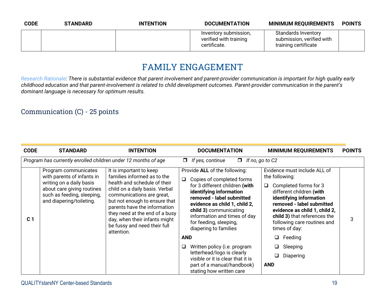| <b>CODE</b> | <b>STANDARD</b> | <b>INTENTION</b> | <b>DOCUMENTATION</b>                                            | <b>MINIMUM REQUIREMENTS</b>                                              | <b>POINTS</b> |
|-------------|-----------------|------------------|-----------------------------------------------------------------|--------------------------------------------------------------------------|---------------|
|             |                 |                  | Inventory submission,<br>verified with training<br>certificate. | Standards Inventory<br>submission, verified with<br>training certificate |               |

## **FAMILY ENGAGEMENT**

*Research Rationale: There is substantial evidence that parent involvement and parent-provider communication is important for high quality early childhood education and that parent-involvement is related to child development outcomes. Parent-provider communication in the parent's dominant language is necessary for optimum results.*

#### Communication (C) - 25 points

| <b>CODE</b>    | <b>STANDARD</b>                                                                                                                                                        | <b>INTENTION</b>                                                                                                                                                                                                                                                                                                                        |            | <b>DOCUMENTATION</b>                                                                                                                                                                                                                                                                               | <b>MINIMUM REQUIREMENTS</b>                                                                                                                                                                                                                                                       | <b>POINTS</b> |
|----------------|------------------------------------------------------------------------------------------------------------------------------------------------------------------------|-----------------------------------------------------------------------------------------------------------------------------------------------------------------------------------------------------------------------------------------------------------------------------------------------------------------------------------------|------------|----------------------------------------------------------------------------------------------------------------------------------------------------------------------------------------------------------------------------------------------------------------------------------------------------|-----------------------------------------------------------------------------------------------------------------------------------------------------------------------------------------------------------------------------------------------------------------------------------|---------------|
|                | Program has currently enrolled children under 12 months of age                                                                                                         |                                                                                                                                                                                                                                                                                                                                         | $\Box$     | $\Box$ If no, go to C2<br>If yes, continue                                                                                                                                                                                                                                                         |                                                                                                                                                                                                                                                                                   |               |
| C <sub>1</sub> | Program communicates<br>with parents of infants in<br>writing on a daily basis<br>about care giving routines<br>such as feeding, sleeping,<br>and diapering/toileting. | It is important to keep<br>families informed as to the<br>health and schedule of their<br>child on a daily basis. Verbal<br>communications are great,<br>but not enough to ensure that<br>parents have the information<br>they need at the end of a busy<br>day, when their infants might<br>be fussy and need their full<br>attention. | $\Box$     | Provide ALL of the following:<br>Copies of completed forms<br>for 3 different children (with<br>identifying information<br>removed - label submitted<br>evidence as child 1, child 2,<br>child 3) communicating<br>information and times of day<br>for feeding, sleeping,<br>diapering to families | Evidence must include ALL of<br>the following:<br>Completed forms for 3<br>◻<br>different children (with<br>identifying information<br>removed - label submitted<br>evidence as child 1, child 2,<br>child 3) that references the<br>following care routines and<br>times of day: | 3             |
|                |                                                                                                                                                                        |                                                                                                                                                                                                                                                                                                                                         | <b>AND</b> |                                                                                                                                                                                                                                                                                                    | Feeding<br>$\Box$                                                                                                                                                                                                                                                                 |               |
|                |                                                                                                                                                                        |                                                                                                                                                                                                                                                                                                                                         | ❏          | Written policy (i.e. program                                                                                                                                                                                                                                                                       | Sleeping                                                                                                                                                                                                                                                                          |               |
|                |                                                                                                                                                                        |                                                                                                                                                                                                                                                                                                                                         |            | letterhead/logo is clearly<br>visible or it is clear that it is                                                                                                                                                                                                                                    | Diapering                                                                                                                                                                                                                                                                         |               |
|                |                                                                                                                                                                        |                                                                                                                                                                                                                                                                                                                                         |            | part of a manual/handbook)<br>stating how written care                                                                                                                                                                                                                                             | <b>AND</b>                                                                                                                                                                                                                                                                        |               |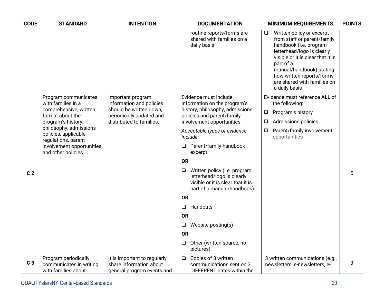| <b>CODE</b>    | <b>STANDARD</b>                                                                                                            | <b>INTENTION</b>                                                                      | <b>DOCUMENTATION</b>                                                                                                                    | <b>MINIMUM REQUIREMENTS</b>                                                                                                                                                                                                                                                      | <b>POINTS</b> |
|----------------|----------------------------------------------------------------------------------------------------------------------------|---------------------------------------------------------------------------------------|-----------------------------------------------------------------------------------------------------------------------------------------|----------------------------------------------------------------------------------------------------------------------------------------------------------------------------------------------------------------------------------------------------------------------------------|---------------|
|                |                                                                                                                            |                                                                                       | routine reports/forms are<br>shared with families on a<br>daily basis                                                                   | Written policy or excerpt<br>❏<br>from staff or parent/family<br>handbook (i.e. program<br>letterhead/logo is clearly<br>visible or it is clear that it is<br>part of a<br>manual/handbook) stating<br>how written reports/forms<br>are shared with families on<br>a daily basis |               |
|                | Program communicates<br>with families in a                                                                                 | Important program<br>information and policies                                         | Evidence must include<br>information on the program's                                                                                   | Evidence must reference ALL of<br>the following:                                                                                                                                                                                                                                 |               |
|                | comprehensive, written<br>format about the                                                                                 | should be written down,<br>periodically updated and                                   | history, philosophy, admissions<br>policies and parent/family                                                                           | $\Box$<br>Program's history                                                                                                                                                                                                                                                      |               |
|                | program's history,                                                                                                         | distributed to families.                                                              | involvement opportunities.                                                                                                              | Admissions policies<br>❏                                                                                                                                                                                                                                                         |               |
|                | philosophy, admissions<br>policies, applicable<br>regulations, parent<br>involvement opportunities,<br>and other policies. |                                                                                       | Acceptable types of evidence<br>include:                                                                                                | Parent/family involvement<br>$\Box$<br>opportunities                                                                                                                                                                                                                             |               |
|                |                                                                                                                            |                                                                                       | Parent/family handbook<br>❏<br>excerpt                                                                                                  |                                                                                                                                                                                                                                                                                  |               |
|                |                                                                                                                            |                                                                                       | <b>OR</b>                                                                                                                               |                                                                                                                                                                                                                                                                                  |               |
| C <sub>2</sub> |                                                                                                                            |                                                                                       | Written policy (i.e. program<br>$\Box$<br>letterhead/logo is clearly<br>visible or it is clear that it is<br>part of a manual/handbook) |                                                                                                                                                                                                                                                                                  | 5             |
|                |                                                                                                                            |                                                                                       | <b>OR</b>                                                                                                                               |                                                                                                                                                                                                                                                                                  |               |
|                |                                                                                                                            |                                                                                       | Handouts<br>$\Box$                                                                                                                      |                                                                                                                                                                                                                                                                                  |               |
|                |                                                                                                                            |                                                                                       | <b>OR</b>                                                                                                                               |                                                                                                                                                                                                                                                                                  |               |
|                |                                                                                                                            |                                                                                       | Website posting(s)<br>$\Box$                                                                                                            |                                                                                                                                                                                                                                                                                  |               |
|                |                                                                                                                            |                                                                                       | <b>OR</b>                                                                                                                               |                                                                                                                                                                                                                                                                                  |               |
|                |                                                                                                                            |                                                                                       | Other (written source, no<br>$\Box$<br>pictures)                                                                                        |                                                                                                                                                                                                                                                                                  |               |
| C <sub>3</sub> | Program periodically<br>communicates in writing<br>with families about                                                     | It is important to regularly<br>share information about<br>general program events and | $\Box$<br>Copies of 3 written<br>communications sent on 3<br>DIFFERENT dates within the                                                 | 3 written communications (e.g.,<br>newsletters, e-newsletters, e-                                                                                                                                                                                                                | 3             |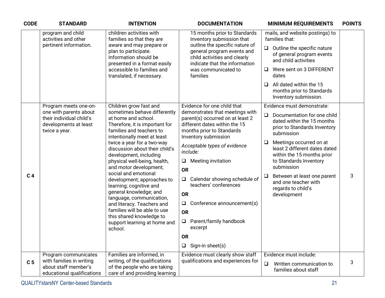| <b>CODE</b>    | <b>STANDARD</b>                                                                                                       | <b>INTENTION</b>                                                                                                                                                                                                                                                                                                                                                                                                                                                                                                                                                                                           | <b>DOCUMENTATION</b>                                                                                                                                                                                                                                                                                                                                                                                                                                                                                                    | <b>MINIMUM REQUIREMENTS</b>                                                                                                                                                                                                                                                                                                                                                                       | <b>POINTS</b> |
|----------------|-----------------------------------------------------------------------------------------------------------------------|------------------------------------------------------------------------------------------------------------------------------------------------------------------------------------------------------------------------------------------------------------------------------------------------------------------------------------------------------------------------------------------------------------------------------------------------------------------------------------------------------------------------------------------------------------------------------------------------------------|-------------------------------------------------------------------------------------------------------------------------------------------------------------------------------------------------------------------------------------------------------------------------------------------------------------------------------------------------------------------------------------------------------------------------------------------------------------------------------------------------------------------------|---------------------------------------------------------------------------------------------------------------------------------------------------------------------------------------------------------------------------------------------------------------------------------------------------------------------------------------------------------------------------------------------------|---------------|
|                | program and child<br>activities and other<br>pertinent information.                                                   | children activities with<br>families so that they are<br>aware and may prepare or<br>plan to participate.<br>Information should be<br>presented in a format easily<br>accessible to families and<br>translated, if necessary.                                                                                                                                                                                                                                                                                                                                                                              | 15 months prior to Standards<br>Inventory submission that<br>outline the specific nature of<br>general program events and<br>child activities and clearly<br>indicate that the information<br>was communicated to<br>families                                                                                                                                                                                                                                                                                           | mails, and website postings) to<br>families that:<br>Outline the specific nature<br>$\Box$<br>of general program events<br>and child activities<br>Were sent on 3 DIFFERENT<br>$\Box$<br>dates<br>All dated within the 15<br>$\Box$<br>months prior to Standards<br>Inventory submission.                                                                                                         |               |
| C <sub>4</sub> | Program meets one-on-<br>one with parents about<br>their individual child's<br>developments at least<br>twice a year. | Children grow fast and<br>sometimes behave differently<br>at home and school.<br>Therefore, it is important for<br>families and teachers to<br>intentionally meet at least<br>twice a year for a two-way<br>discussion about their child's<br>development, including<br>physical well-being, health,<br>and motor development;<br>social and emotional<br>development; approaches to<br>learning; cognitive and<br>general knowledge; and<br>language, communication,<br>and literacy. Teachers and<br>families will be able to use<br>this shared knowledge to<br>support learning at home and<br>school. | Evidence for one child that<br>demonstrates that meetings with<br>parent(s) occurred on at least 2<br>different dates within the 15<br>months prior to Standards<br>Inventory submission<br>Acceptable types of evidence<br>include:<br><b>Meeting invitation</b><br>$\Box$<br><b>OR</b><br>Calendar showing schedule of<br>$\Box$<br>teachers' conferences<br><b>OR</b><br>Conference announcement(s)<br>$\Box$<br><b>OR</b><br>Parent/family handbook<br>$\Box$<br>excerpt<br><b>OR</b><br>Sign-in sheet(s)<br>$\Box$ | Evidence must demonstrate:<br>Documentation for one child<br>$\Box$<br>dated within the 15 months<br>prior to Standards Inventory<br>submission<br>Meetings occurred on at<br>$\Box$<br>least 2 different dates dated<br>within the 15 months prior<br>to Standards Inventory<br>submission<br>Between at least one parent<br>$\Box$<br>and one teacher with<br>regards to child's<br>development | 3             |
| C <sub>5</sub> | Program communicates<br>with families in writing<br>about staff member's<br>educational qualifications                | Families are informed, in<br>writing, of the qualifications<br>of the people who are taking<br>care of and providing learning                                                                                                                                                                                                                                                                                                                                                                                                                                                                              | Evidence must clearly show staff<br>qualifications and experiences for                                                                                                                                                                                                                                                                                                                                                                                                                                                  | Evidence must include:<br>$\Box$<br>Written communication to<br>families about staff                                                                                                                                                                                                                                                                                                              | 3             |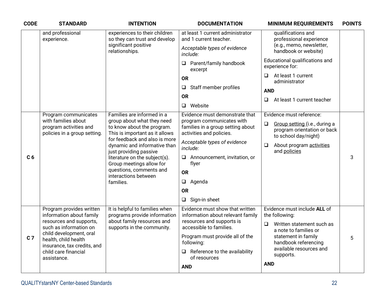| <b>CODE</b>                                                                   | <b>STANDARD</b>                                                                            | <b>INTENTION</b>                                                                                                                                     | <b>DOCUMENTATION</b>                                                                           | <b>MINIMUM REQUIREMENTS</b>                                  | <b>POINTS</b> |
|-------------------------------------------------------------------------------|--------------------------------------------------------------------------------------------|------------------------------------------------------------------------------------------------------------------------------------------------------|------------------------------------------------------------------------------------------------|--------------------------------------------------------------|---------------|
|                                                                               | and professional<br>experience.                                                            | experiences to their children<br>so they can trust and develop                                                                                       | at least 1 current administrator<br>and 1 current teacher.                                     | qualifications and<br>professional experience                |               |
|                                                                               |                                                                                            | significant positive<br>relationships.                                                                                                               | Acceptable types of evidence<br>include:                                                       | (e.g., memo, newsletter,<br>handbook or website)             |               |
|                                                                               |                                                                                            |                                                                                                                                                      | Parent/family handbook<br>❏<br>excerpt                                                         | Educational qualifications and<br>experience for:            |               |
|                                                                               |                                                                                            |                                                                                                                                                      | <b>OR</b>                                                                                      | At least 1 current<br>❏<br>administrator                     |               |
|                                                                               |                                                                                            |                                                                                                                                                      | Staff member profiles<br>$\Box$                                                                | <b>AND</b>                                                   |               |
|                                                                               |                                                                                            |                                                                                                                                                      | <b>OR</b>                                                                                      | At least 1 current teacher<br>$\Box$                         |               |
|                                                                               |                                                                                            |                                                                                                                                                      | Website<br>$\Box$                                                                              |                                                              |               |
|                                                                               | Program communicates                                                                       | Families are informed in a                                                                                                                           | Evidence must demonstrate that                                                                 | Evidence must reference:                                     |               |
| with families about<br>program activities and<br>policies in a group setting. | group about what they need<br>to know about the program.<br>This is important as it allows | program communicates with<br>families in a group setting about<br>activities and policies.                                                           | Group setting (i.e., during a<br>$\Box$<br>program orientation or back<br>to school day/night) |                                                              |               |
|                                                                               |                                                                                            | for feedback and also is more<br>dynamic and informative than<br>just providing passive<br>literature on the subject(s).<br>Group meetings allow for | Acceptable types of evidence<br>include:                                                       | About program activities<br>$\Box$<br>and policies           |               |
| C <sub>6</sub>                                                                |                                                                                            |                                                                                                                                                      | Announcement, invitation, or<br>Q.<br>flyer                                                    |                                                              | 3             |
|                                                                               |                                                                                            | questions, comments and<br>interactions between                                                                                                      | <b>OR</b>                                                                                      |                                                              |               |
|                                                                               |                                                                                            | families.                                                                                                                                            | Agenda<br>$\Box$                                                                               |                                                              |               |
|                                                                               |                                                                                            |                                                                                                                                                      | <b>OR</b>                                                                                      |                                                              |               |
|                                                                               |                                                                                            |                                                                                                                                                      | Sign-in sheet<br>$\Box$                                                                        |                                                              |               |
|                                                                               | Program provides written<br>information about family                                       | It is helpful to families when<br>programs provide information                                                                                       | Evidence must show that written<br>information about relevant family                           | Evidence must include ALL of<br>the following:               |               |
|                                                                               | resources and supports,<br>such as information on                                          | about family resources and<br>supports in the community.                                                                                             | resources and supports is<br>accessible to families.                                           | Written statement such as<br>$\Box$<br>a note to families or |               |
| C <sub>7</sub>                                                                | child development, oral<br>health, child health                                            | insurance, tax credits, and                                                                                                                          | Program must provide all of the<br>following:                                                  | statement in family<br>handbook referencing                  | 5             |
|                                                                               | child care financial<br>assistance.                                                        |                                                                                                                                                      | Reference to the availability<br>⊔<br>of resources                                             | available resources and<br>supports.                         |               |
|                                                                               |                                                                                            |                                                                                                                                                      | <b>AND</b>                                                                                     | <b>AND</b>                                                   |               |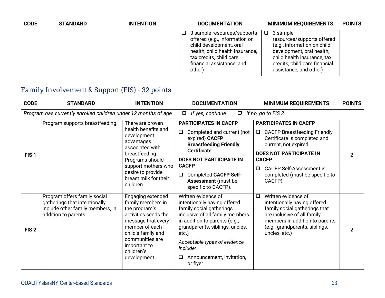| <b>CODE</b> | <b>STANDARD</b> | <b>INTENTION</b> | <b>DOCUMENTATION</b>                                                                                                                                                                              | <b>MINIMUM REQUIREMENTS</b>                                                                                                                                                                            | <b>POINTS</b> |
|-------------|-----------------|------------------|---------------------------------------------------------------------------------------------------------------------------------------------------------------------------------------------------|--------------------------------------------------------------------------------------------------------------------------------------------------------------------------------------------------------|---------------|
|             |                 |                  | 3 sample resources/supports<br>ப<br>offered (e.g., information on<br>child development, oral<br>health, child health insurance,<br>tax credits, child care<br>financial assistance, and<br>other) | 3 sample<br>$\Box$<br>resources/supports offered<br>(e.g., information on child<br>development, oral health,<br>child health insurance, tax<br>credits, child care financial<br>assistance, and other) |               |

## Family Involvement & Support (FIS) - 32 points

| <b>CODE</b>      | <b>STANDARD</b>                                                                                                           | <b>INTENTION</b>                                                                                                                                                                                               | <b>DOCUMENTATION</b>                                                                                                                                                                                                                                                                      | <b>MINIMUM REQUIREMENTS</b>                                                                                                                                                                                                                                        | <b>POINTS</b> |
|------------------|---------------------------------------------------------------------------------------------------------------------------|----------------------------------------------------------------------------------------------------------------------------------------------------------------------------------------------------------------|-------------------------------------------------------------------------------------------------------------------------------------------------------------------------------------------------------------------------------------------------------------------------------------------|--------------------------------------------------------------------------------------------------------------------------------------------------------------------------------------------------------------------------------------------------------------------|---------------|
|                  | Program has currently enrolled children under 12 months of age                                                            |                                                                                                                                                                                                                | If yes, continue<br>$\Box$<br>$\Box$                                                                                                                                                                                                                                                      | If no, go to FIS 2                                                                                                                                                                                                                                                 |               |
| FIS <sub>1</sub> | Program supports breastfeeding.                                                                                           | There are proven<br>health benefits and<br>development<br>advantages<br>associated with<br>breastfeeding.<br>Programs should<br>support mothers who<br>desire to provide<br>breast milk for their<br>children. | <b>PARTICIPATES IN CACFP</b><br>Completed and current (not<br>$\Box$<br>expired) CACFP<br><b>Breastfeeding Friendly</b><br><b>Certificate</b><br><b>DOES NOT PARTICIPATE IN</b><br><b>CACFP</b><br><b>Completed CACFP Self-</b><br>❏<br><b>Assessment</b> (must be<br>specific to CACFP). | <b>PARTICIPATES IN CACFP</b><br>□ CACFP Breastfeeding Friendly<br>Certificate is completed and<br>current, not expired<br><b>DOES NOT PARTICIPATE IN</b><br><b>CACFP</b><br><b>CACFP Self-Assessment is</b><br>$\Box$<br>completed (must be specific to<br>CACFP). | 2             |
| FIS <sub>2</sub> | Program offers family social<br>gatherings that intentionally<br>include other family members, in<br>addition to parents. | Engaging extended<br>family members in<br>the program's<br>activities sends the<br>message that every<br>member of each<br>child's family and<br>communities are<br>important to<br>children's<br>development. | Written evidence of<br>intentionally having offered<br>family social gatherings<br>inclusive of all family members<br>in addition to parents (e.g.,<br>grandparents, siblings, uncles,<br>etc.)<br>Acceptable types of evidence<br>include:<br>Announcement, invitation,<br>⊔<br>or flyer | Written evidence of<br>$\Box$<br>intentionally having offered<br>family social gatherings that<br>are inclusive of all family<br>members in addition to parents<br>(e.g., grandparents, siblings,<br>uncles, etc.)                                                 | 2             |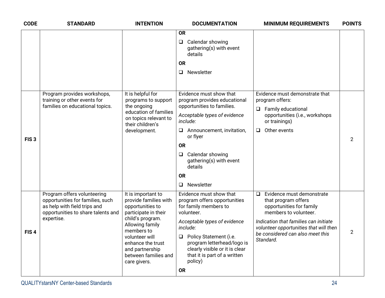| <b>CODE</b>      | <b>STANDARD</b>                                                                                                                                     | <b>INTENTION</b>                                                                                                                                                                                                                               | <b>DOCUMENTATION</b>                                                                                                                                                                                                                                                                               | <b>MINIMUM REQUIREMENTS</b>                                                                                                                                                                                                                         | <b>POINTS</b>  |
|------------------|-----------------------------------------------------------------------------------------------------------------------------------------------------|------------------------------------------------------------------------------------------------------------------------------------------------------------------------------------------------------------------------------------------------|----------------------------------------------------------------------------------------------------------------------------------------------------------------------------------------------------------------------------------------------------------------------------------------------------|-----------------------------------------------------------------------------------------------------------------------------------------------------------------------------------------------------------------------------------------------------|----------------|
|                  |                                                                                                                                                     |                                                                                                                                                                                                                                                | <b>OR</b><br>Calendar showing<br>$\Box$<br>gathering(s) with event<br>details<br><b>OR</b><br>$\Box$<br>Newsletter                                                                                                                                                                                 |                                                                                                                                                                                                                                                     |                |
| FIS <sub>3</sub> | Program provides workshops,<br>training or other events for<br>families on educational topics.                                                      | It is helpful for<br>programs to support<br>the ongoing<br>education of families<br>on topics relevant to<br>their children's<br>development.                                                                                                  | Evidence must show that<br>program provides educational<br>opportunities to families.<br>Acceptable types of evidence<br>include:<br>$\Box$ Announcement, invitation,<br>or flyer<br><b>OR</b><br>Calendar showing<br>$\Box$<br>gathering(s) with event<br>details<br><b>OR</b><br>Newsletter<br>⊔ | Evidence must demonstrate that<br>program offers:<br><b>Family educational</b><br>$\Box$<br>opportunities (i.e., workshops<br>or trainings)<br>Other events<br>$\Box$                                                                               | $\overline{2}$ |
| FIS <sub>4</sub> | Program offers volunteering<br>opportunities for families, such<br>as help with field trips and<br>opportunities to share talents and<br>expertise. | It is important to<br>provide families with<br>opportunities to<br>participate in their<br>child's program.<br>Allowing family<br>members to<br>volunteer will<br>enhance the trust<br>and partnership<br>between families and<br>care givers. | Evidence must show that<br>program offers opportunities<br>for family members to<br>volunteer.<br>Acceptable types of evidence<br>include:<br>□ Policy Statement (i.e.<br>program letterhead/logo is<br>clearly visible or it is clear<br>that it is part of a written<br>policy)<br><b>OR</b>     | Evidence must demonstrate<br>$\Box$<br>that program offers<br>opportunities for family<br>members to volunteer.<br>Indication that families can initiate<br>volunteer opportunities that will then<br>be considered can also meet this<br>Standard. | $\overline{2}$ |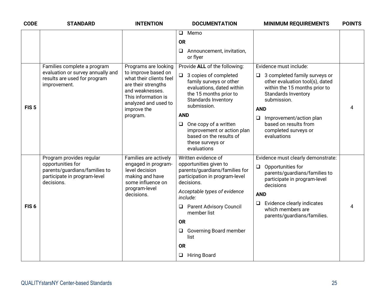| <b>CODE</b>      | <b>STANDARD</b>                                                                                  | <b>INTENTION</b>                                                                         | <b>DOCUMENTATION</b>                                                                                                        | <b>MINIMUM REQUIREMENTS</b>                                                                                                                     | <b>POINTS</b>                                                                                                                                         |  |
|------------------|--------------------------------------------------------------------------------------------------|------------------------------------------------------------------------------------------|-----------------------------------------------------------------------------------------------------------------------------|-------------------------------------------------------------------------------------------------------------------------------------------------|-------------------------------------------------------------------------------------------------------------------------------------------------------|--|
|                  |                                                                                                  |                                                                                          | Memo<br>$\Box$                                                                                                              |                                                                                                                                                 |                                                                                                                                                       |  |
|                  |                                                                                                  |                                                                                          | <b>OR</b>                                                                                                                   |                                                                                                                                                 |                                                                                                                                                       |  |
|                  |                                                                                                  |                                                                                          | Announcement, invitation,<br>$\Box$<br>or flyer                                                                             |                                                                                                                                                 |                                                                                                                                                       |  |
|                  | Families complete a program                                                                      | Programs are looking                                                                     | Provide ALL of the following:                                                                                               | Evidence must include:                                                                                                                          |                                                                                                                                                       |  |
|                  | evaluation or survey annually and<br>results are used for program<br>improvement.                | what their clients feel<br>are their strengths<br>and weaknesses.<br>This information is | to improve based on<br>analyzed and used to                                                                                 | 3 copies of completed<br>$\Box$<br>family surveys or other<br>evaluations, dated within<br>the 15 months prior to<br><b>Standards Inventory</b> | $\Box$ 3 completed family surveys or<br>other evaluation tool(s), dated<br>within the 15 months prior to<br><b>Standards Inventory</b><br>submission. |  |
| FIS <sub>5</sub> |                                                                                                  | improve the                                                                              | submission.                                                                                                                 | <b>AND</b>                                                                                                                                      | 4                                                                                                                                                     |  |
|                  |                                                                                                  | program.                                                                                 | <b>AND</b>                                                                                                                  | $\Box$<br>Improvement/action plan                                                                                                               |                                                                                                                                                       |  |
|                  |                                                                                                  |                                                                                          | One copy of a written<br>$\Box$<br>improvement or action plan<br>based on the results of<br>these surveys or<br>evaluations | based on results from<br>completed surveys or<br>evaluations                                                                                    |                                                                                                                                                       |  |
|                  | Program provides regular                                                                         | Families are actively                                                                    | Written evidence of                                                                                                         | Evidence must clearly demonstrate:                                                                                                              |                                                                                                                                                       |  |
|                  | opportunities for<br>parents/guardians/families to<br>participate in program-level<br>decisions. | engaged in program-<br>level decision<br>making and have<br>some influence on            | opportunities given to<br>parents/guardians/families for<br>participation in program-level<br>decisions.                    | $\Box$<br>Opportunities for<br>parents/guardians/families to<br>participate in program-level<br>decisions                                       |                                                                                                                                                       |  |
|                  |                                                                                                  | program-level<br>decisions.                                                              | Acceptable types of evidence<br>include:                                                                                    | <b>AND</b>                                                                                                                                      |                                                                                                                                                       |  |
| FIS <sub>6</sub> |                                                                                                  |                                                                                          | <b>Parent Advisory Council</b><br>⊔<br>member list                                                                          | Evidence clearly indicates<br>$\Box$<br>which members are<br>parents/guardians/families.                                                        | 4                                                                                                                                                     |  |
|                  |                                                                                                  |                                                                                          | <b>OR</b>                                                                                                                   |                                                                                                                                                 |                                                                                                                                                       |  |
|                  |                                                                                                  |                                                                                          | Governing Board member<br>$\Box$<br>list                                                                                    |                                                                                                                                                 |                                                                                                                                                       |  |
|                  |                                                                                                  |                                                                                          | <b>OR</b>                                                                                                                   |                                                                                                                                                 |                                                                                                                                                       |  |
|                  |                                                                                                  |                                                                                          | <b>Hiring Board</b><br>$\Box$                                                                                               |                                                                                                                                                 |                                                                                                                                                       |  |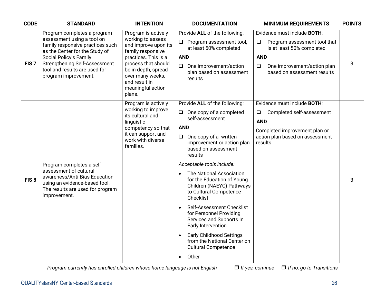| <b>CODE</b>      | <b>STANDARD</b>                                                                                                                                                                                                                                            | <b>INTENTION</b>                                                                                                                                                                                                                | <b>DOCUMENTATION</b>                                                                                                                                                                                                                                                                                                                                                                                                                                                                                                                                                                                                               | <b>MINIMUM REQUIREMENTS</b>                                                                                                                                                              | <b>POINTS</b> |
|------------------|------------------------------------------------------------------------------------------------------------------------------------------------------------------------------------------------------------------------------------------------------------|---------------------------------------------------------------------------------------------------------------------------------------------------------------------------------------------------------------------------------|------------------------------------------------------------------------------------------------------------------------------------------------------------------------------------------------------------------------------------------------------------------------------------------------------------------------------------------------------------------------------------------------------------------------------------------------------------------------------------------------------------------------------------------------------------------------------------------------------------------------------------|------------------------------------------------------------------------------------------------------------------------------------------------------------------------------------------|---------------|
| FIS <sub>7</sub> | Program completes a program<br>assessment using a tool on<br>family responsive practices such<br>as the Center for the Study of<br>Social Policy's Family<br><b>Strengthening Self-Assessment</b><br>tool and results are used for<br>program improvement. | Program is actively<br>working to assess<br>and improve upon its<br>family responsive<br>practices. This is a<br>process that should<br>be in-depth, spread<br>over many weeks,<br>and result in<br>meaningful action<br>plans. | Provide ALL of the following:<br>Program assessment tool,<br>at least 50% completed<br><b>AND</b><br>$\Box$ One improvement/action<br>plan based on assessment<br>results                                                                                                                                                                                                                                                                                                                                                                                                                                                          | Evidence must include BOTH:<br>Program assessment tool that<br>$\Box$<br>is at least 50% completed<br><b>AND</b><br>One improvement/action plan<br>$\Box$<br>based on assessment results | 3             |
| FIS <sub>8</sub> | Program completes a self-<br>assessment of cultural<br>awareness/Anti-Bias Education<br>using an evidence-based tool.<br>The results are used for program<br>improvement.                                                                                  | Program is actively<br>working to improve<br>its cultural and<br>linguistic<br>competency so that<br>it can support and<br>work with diverse<br>families.                                                                       | Provide ALL of the following:<br>$\Box$ One copy of a completed<br>self-assessment<br><b>AND</b><br>$\Box$ One copy of a written<br>improvement or action plan<br>based on assessment<br>results<br>Acceptable tools include:<br>The National Association<br>$\bullet$<br>for the Education of Young<br>Children (NAEYC) Pathways<br>to Cultural Competence<br>Checklist<br>Self-Assessment Checklist<br>$\bullet$<br>for Personnel Providing<br>Services and Supports In<br>Early Intervention<br><b>Early Childhood Settings</b><br>$\bullet$<br>from the National Center on<br><b>Cultural Competence</b><br>Other<br>$\bullet$ | Evidence must include <b>BOTH:</b><br>Completed self-assessment<br>Q<br><b>AND</b><br>Completed improvement plan or<br>action plan based on assessment<br>results                        | 3             |
|                  | Program currently has enrolled children whose home language is not English                                                                                                                                                                                 |                                                                                                                                                                                                                                 |                                                                                                                                                                                                                                                                                                                                                                                                                                                                                                                                                                                                                                    | $\Box$ If no, go to Transitions<br>$\Box$ If yes, continue                                                                                                                               |               |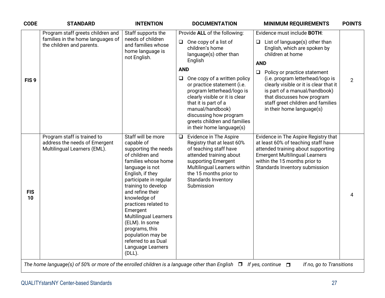| <b>CODE</b>      | <b>STANDARD</b>                                                                                     | <b>INTENTION</b>                                                                                                                                                                                                                                                                                                                                                                                                     | <b>DOCUMENTATION</b>                                                                                                                                                                                                                                                                                                                                                                                               | <b>MINIMUM REQUIREMENTS</b>                                                                                                                                                                                                                                                                                                                                                                        | <b>POINTS</b>  |
|------------------|-----------------------------------------------------------------------------------------------------|----------------------------------------------------------------------------------------------------------------------------------------------------------------------------------------------------------------------------------------------------------------------------------------------------------------------------------------------------------------------------------------------------------------------|--------------------------------------------------------------------------------------------------------------------------------------------------------------------------------------------------------------------------------------------------------------------------------------------------------------------------------------------------------------------------------------------------------------------|----------------------------------------------------------------------------------------------------------------------------------------------------------------------------------------------------------------------------------------------------------------------------------------------------------------------------------------------------------------------------------------------------|----------------|
| FIS <sub>9</sub> | Program staff greets children and<br>families in the home languages of<br>the children and parents. | Staff supports the<br>needs of children<br>and families whose<br>home language is<br>not English.                                                                                                                                                                                                                                                                                                                    | Provide ALL of the following:<br>One copy of a list of<br>$\Box$<br>children's home<br>language(s) other than<br>English<br><b>AND</b><br>One copy of a written policy<br>$\Box$<br>or practice statement (i.e.<br>program letterhead/logo is<br>clearly visible or it is clear<br>that it is part of a<br>manual/handbook)<br>discussing how program<br>greets children and families<br>in their home language(s) | Evidence must include BOTH:<br>List of language(s) other than<br>$\Box$<br>English, which are spoken by<br>children at home<br><b>AND</b><br>Policy or practice statement<br>$\Box$<br>(i.e. program letterhead/logo is<br>clearly visible or it is clear that it<br>is part of a manual/handbook)<br>that discusses how program<br>staff greet children and families<br>in their home language(s) | $\overline{2}$ |
| <b>FIS</b><br>10 | Program staff is trained to<br>address the needs of Emergent<br>Multilingual Learners (EML).        | Staff will be more<br>capable of<br>supporting the needs<br>of children and<br>families whose home<br>language is not<br>English, if they<br>participate in regular<br>training to develop<br>and refine their<br>knowledge of<br>practices related to<br>Emergent<br><b>Multilingual Learners</b><br>(ELM). In some<br>programs, this<br>population may be<br>referred to as Dual<br>Language Learners<br>$(DLL)$ . | Evidence in The Aspire<br>$\Box$<br>Registry that at least 60%<br>of teaching staff have<br>attended training about<br>supporting Emergent<br>Multilingual Learners within<br>the 15 months prior to<br>Standards Inventory<br>Submission                                                                                                                                                                          | Evidence in The Aspire Registry that<br>at least 60% of teaching staff have<br>attended training about supporting<br><b>Emergent Multilingual Learners</b><br>within the 15 months prior to<br>Standards Inventory submission                                                                                                                                                                      | 4              |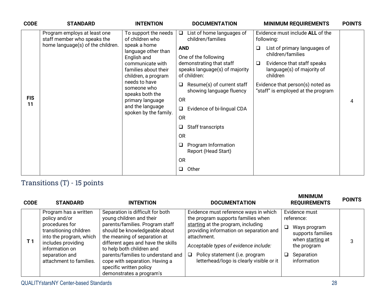| <b>CODE</b>      | <b>STANDARD</b>                                                        | <b>INTENTION</b>                                        | <b>DOCUMENTATION</b>                                                                               | <b>MINIMUM REQUIREMENTS</b>                                               | <b>POINTS</b> |
|------------------|------------------------------------------------------------------------|---------------------------------------------------------|----------------------------------------------------------------------------------------------------|---------------------------------------------------------------------------|---------------|
|                  | Program employs at least one<br>staff member who speaks the            | To support the needs<br>of children who                 | List of home languages of<br>$\Box$<br>children/families                                           | Evidence must include ALL of the<br>following:                            |               |
|                  | home language(s) of the children.                                      | speak a home<br>language other than                     | <b>AND</b>                                                                                         | List of primary languages of<br>$\Box$<br>children/families               |               |
|                  | children, a program<br>needs to have<br>someone who<br>speaks both the | English and<br>communicate with<br>families about their | One of the following<br>demonstrating that staff<br>speaks language(s) of majority<br>of children: | Evidence that staff speaks<br>❏<br>language(s) of majority of<br>children |               |
|                  |                                                                        |                                                         | Resume(s) of current staff<br>$\Box$<br>showing language fluency                                   | Evidence that person(s) noted as<br>"staff" is employed at the program    |               |
| <b>FIS</b><br>11 |                                                                        | primary language                                        | <b>OR</b>                                                                                          |                                                                           | 4             |
|                  |                                                                        | and the language<br>spoken by the family.               | Evidence of bi-lingual CDA<br>$\Box$                                                               |                                                                           |               |
|                  |                                                                        |                                                         | <b>OR</b>                                                                                          |                                                                           |               |
|                  |                                                                        |                                                         | Staff transcripts<br>$\Box$                                                                        |                                                                           |               |
|                  |                                                                        |                                                         | <b>OR</b>                                                                                          |                                                                           |               |
|                  |                                                                        |                                                         | Program Information<br>❏<br>Report (Head Start)                                                    |                                                                           |               |
|                  |                                                                        |                                                         | <b>OR</b>                                                                                          |                                                                           |               |
|                  |                                                                        |                                                         | Other<br>$\Box$                                                                                    |                                                                           |               |

## Transitions (T) - 15 points

| <b>CODE</b> | <b>STANDARD</b>                                                                                                                                                                                    | <b>INTENTION</b>                                                                                                                                                                                                                                                                                                                                                   | <b>DOCUMENTATION</b>                                                                                                                                                                                                                                                                               | <b>MINIMUM</b><br><b>REQUIREMENTS</b>                                                                                                           | <b>POINTS</b> |
|-------------|----------------------------------------------------------------------------------------------------------------------------------------------------------------------------------------------------|--------------------------------------------------------------------------------------------------------------------------------------------------------------------------------------------------------------------------------------------------------------------------------------------------------------------------------------------------------------------|----------------------------------------------------------------------------------------------------------------------------------------------------------------------------------------------------------------------------------------------------------------------------------------------------|-------------------------------------------------------------------------------------------------------------------------------------------------|---------------|
| T 1         | Program has a written<br>policy and/or<br>procedures for<br>transitioning children<br>into the program, which<br>includes providing<br>information on<br>separation and<br>attachment to families. | Separation is difficult for both<br>young children and their<br>parents/families. Program staff<br>should be knowledgeable about<br>the meaning of separation at<br>different ages and have the skills<br>to help both children and<br>parents/families to understand and<br>cope with separation. Having a<br>specific written policy<br>demonstrates a program's | Evidence must reference ways in which<br>the program supports families when<br>starting at the program, including<br>providing information on separation and<br>attachment.<br>Acceptable types of evidence include:<br>Policy statement (i.e. program<br>letterhead/logo is clearly visible or it | Evidence must<br>reference:<br>$\Box$<br>Ways program<br>supports families<br>when starting at<br>the program<br>Separation<br>⊔<br>information | 3             |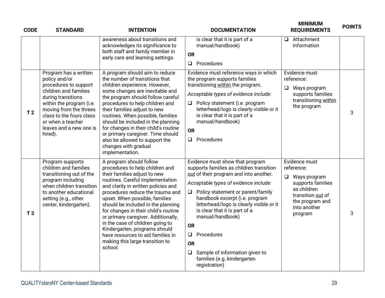| <b>CODE</b>    | <b>STANDARD</b>                                                                                                                                                                                                                                             | <b>INTENTION</b>                                                                                                                                                                                                                                                                                                                                                                                                                                                                                                         | <b>DOCUMENTATION</b>                                                                                                                                                                                                                                                                                                                                                                                                                                                                   | <b>MINIMUM</b><br><b>REQUIREMENTS</b>                                                                                                                     | <b>POINTS</b> |
|----------------|-------------------------------------------------------------------------------------------------------------------------------------------------------------------------------------------------------------------------------------------------------------|--------------------------------------------------------------------------------------------------------------------------------------------------------------------------------------------------------------------------------------------------------------------------------------------------------------------------------------------------------------------------------------------------------------------------------------------------------------------------------------------------------------------------|----------------------------------------------------------------------------------------------------------------------------------------------------------------------------------------------------------------------------------------------------------------------------------------------------------------------------------------------------------------------------------------------------------------------------------------------------------------------------------------|-----------------------------------------------------------------------------------------------------------------------------------------------------------|---------------|
|                |                                                                                                                                                                                                                                                             | awareness about transitions and<br>acknowledges its significance to<br>both staff and family member in<br>early care and learning settings.                                                                                                                                                                                                                                                                                                                                                                              | is clear that it is part of a<br>manual/handbook)<br><b>OR</b><br>$\Box$ Procedures                                                                                                                                                                                                                                                                                                                                                                                                    | Attachment<br>$\Box$<br>information                                                                                                                       |               |
| T <sub>2</sub> | Program has a written<br>policy and/or<br>procedures to support<br>children and families<br>during transitions<br>within the program (i.e.<br>moving from the threes<br>class to the fours class<br>or when a teacher<br>leaves and a new one is<br>hired). | A program should aim to reduce<br>the number of transitions that<br>children experience. However,<br>some changes are inevitable and<br>the program should follow careful<br>procedures to help children and<br>their families adjust to new<br>routines. When possible, families<br>should be included in the planning<br>for changes in their child's routine<br>or primary caregiver. Time should<br>also be allowed to support the<br>changes with gradual<br>implementation.                                        | Evidence must reference ways in which<br>the program supports families<br>transitioning within the program.<br>Acceptable types of evidence include:<br>$\Box$ Policy statement (i.e. program<br>letterhead/logo is clearly visible or it<br>is clear that it is part of a<br>manual/handbook)<br><b>OR</b><br>$\Box$ Procedures                                                                                                                                                       | Evidence must<br>reference:<br>Ways program<br>$\Box$<br>supports families<br>transitioning within<br>the program                                         | 3             |
| T <sub>3</sub> | Program supports<br>children and families<br>transitioning out of the<br>program including<br>when children transition<br>to another educational<br>setting (e.g., other<br>center, kindergarten).                                                          | A program should follow<br>procedures to help children and<br>their families adjust to new<br>routines. Careful implementation<br>and clarity in written policies and<br>procedures reduce the trauma and<br>upset. When possible, families<br>should be included in the planning<br>for changes in their child's routine<br>or primary caregiver. Additionally,<br>in the case of children going to<br>Kindergarten, programs should<br>have resources to aid families in<br>making this large transition to<br>school. | Evidence must show that program<br>supports families as children transition<br>out of their program and into another.<br>Acceptable types of evidence include:<br>□ Policy statement or parent/family<br>handbook excerpt (i.e. program<br>letterhead/logo is clearly visible or it<br>is clear that it is part of a<br>manual/handbook)<br><b>OR</b><br>Procedures<br>$\Box$<br><b>OR</b><br>Sample of information given to<br>$\Box$<br>families (e.g. kindergarten<br>registration) | Evidence must<br>reference:<br>$\Box$ Ways program<br>supports families<br>as children<br>transition out of<br>the program and<br>into another<br>program | 3             |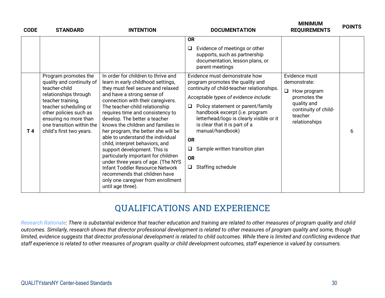| <b>CODE</b>    | <b>STANDARD</b>                                                                                                                                                                                                                                       | <b>INTENTION</b>                                                                                                                                                                                                                                                                                                                                                                                                                                                                                                                                                                              | <b>DOCUMENTATION</b>                                                                                                                                                                                                                                                                                                                                                                                                                                                                                                                                                  | <b>MINIMUM</b><br><b>REQUIREMENTS</b>                                                                                                 | <b>POINTS</b> |
|----------------|-------------------------------------------------------------------------------------------------------------------------------------------------------------------------------------------------------------------------------------------------------|-----------------------------------------------------------------------------------------------------------------------------------------------------------------------------------------------------------------------------------------------------------------------------------------------------------------------------------------------------------------------------------------------------------------------------------------------------------------------------------------------------------------------------------------------------------------------------------------------|-----------------------------------------------------------------------------------------------------------------------------------------------------------------------------------------------------------------------------------------------------------------------------------------------------------------------------------------------------------------------------------------------------------------------------------------------------------------------------------------------------------------------------------------------------------------------|---------------------------------------------------------------------------------------------------------------------------------------|---------------|
| T <sub>4</sub> | Program promotes the<br>quality and continuity of<br>teacher-child<br>relationships through<br>teacher training,<br>teacher scheduling or<br>other policies such as<br>ensuring no more than<br>one transition within the<br>child's first two years. | In order for children to thrive and<br>learn in early childhood settings,<br>they must feel secure and relaxed<br>and have a strong sense of<br>connection with their caregivers.<br>The teacher-child relationship<br>requires time and consistency to<br>develop. The better a teacher<br>knows the children and families in<br>her program, the better she will be<br>able to understand the individual<br>child, interpret behaviors, and<br>support development. This is<br>particularly important for children<br>under three years of age. (The NYS<br>Infant Toddler Resource Network | <b>OR</b><br>Evidence of meetings or other<br>⊔<br>supports, such as partnership<br>documentation, lesson plans, or<br>parent meetings<br>Evidence must demonstrate how<br>program promotes the quality and<br>continuity of child-teacher relationships.<br>Acceptable types of evidence include:<br>Policy statement or parent/family<br>□<br>handbook excerpt (i.e. program<br>letterhead/logo is clearly visible or it<br>is clear that it is part of a<br>manual/handbook)<br><b>OR</b><br>Sample written transition plan<br>❏<br><b>OR</b><br>Staffing schedule | Evidence must<br>demonstrate:<br>Q.<br>How program<br>promotes the<br>quality and<br>continuity of child-<br>teacher<br>relationships | 6             |
|                |                                                                                                                                                                                                                                                       | recommends that children have<br>only one caregiver from enrollment<br>until age three).                                                                                                                                                                                                                                                                                                                                                                                                                                                                                                      |                                                                                                                                                                                                                                                                                                                                                                                                                                                                                                                                                                       |                                                                                                                                       |               |

## **QUALIFICATIONS AND EXPERIENCE**

*Research Rationale: There is substantial evidence that teacher education and training are related to other measures of program quality and child outcomes. Similarly, research shows that director professional development is related to other measures of program quality and some, though limited, evidence suggests that director professional development is related to child outcomes. While there is limited and conflicting evidence that staff experience is related to other measures of program quality or child development outcomes, staff experience is valued by consumers.*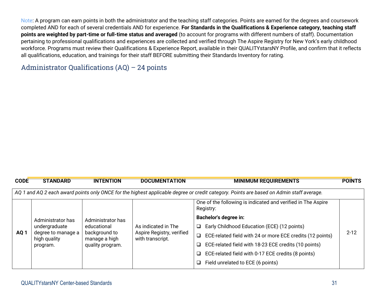Note: A program can earn points in both the administrator and the teaching staff categories. Points are earned for the degrees and coursework completed AND for each of several credentials AND for experience. **For Standards in the Qualifications & Experience category, teaching staff points are weighted by part-time or full-time status and averaged** (to account for programs with different numbers of staff). Documentation pertaining to professional qualifications and experiences are collected and verified through The Aspire Registry for New York's early childhood workforce. Programs must review their Qualifications & Experience Report, available in their QUALITYstarsNY Profile, and confirm that it reflects all qualifications, education, and trainings for their staff BEFORE submitting their Standards Inventory for rating.

#### Administrator Qualifications (AQ) – 24 points

| <b>CODE</b>                                                                                                                              | <b>STANDARD</b>                                                          | <b>INTENTION</b>                                                   | <b>DOCUMENTATION</b>                          | <b>MINIMUM REQUIREMENTS</b>                                               | <b>POINTS</b> |  |  |  |
|------------------------------------------------------------------------------------------------------------------------------------------|--------------------------------------------------------------------------|--------------------------------------------------------------------|-----------------------------------------------|---------------------------------------------------------------------------|---------------|--|--|--|
| AQ 1 and AQ 2 each award points only ONCE for the highest applicable degree or credit category. Points are based on Admin staff average. |                                                                          |                                                                    |                                               |                                                                           |               |  |  |  |
|                                                                                                                                          |                                                                          |                                                                    |                                               | One of the following is indicated and verified in The Aspire<br>Registry: |               |  |  |  |
|                                                                                                                                          | Administrator has<br>undergraduate<br>degree to manage a<br>high quality | Administrator has<br>educational<br>background to<br>manage a high |                                               | <b>Bachelor's degree in:</b>                                              |               |  |  |  |
|                                                                                                                                          |                                                                          |                                                                    | As indicated in The                           | Early Childhood Education (ECE) (12 points)<br>$\Box$                     |               |  |  |  |
| AQ <sub>1</sub>                                                                                                                          |                                                                          |                                                                    | Aspire Registry, verified<br>with transcript. | ECE-related field with 24 or more ECE credits (12 points)<br>❏            | $2 - 12$      |  |  |  |
|                                                                                                                                          | program.                                                                 | quality program.                                                   |                                               | ECE-related field with 18-23 ECE credits (10 points)<br>❏                 |               |  |  |  |
|                                                                                                                                          |                                                                          |                                                                    |                                               | ECE-related field with 0-17 ECE credits (8 points)<br>❏                   |               |  |  |  |
|                                                                                                                                          |                                                                          |                                                                    |                                               | Field unrelated to ECE (6 points)<br>Q.                                   |               |  |  |  |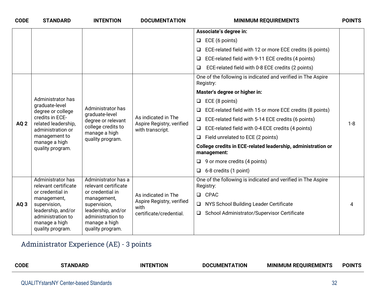| <b>CODE</b>     | <b>STANDARD</b>                                                                                                                                          | <b>INTENTION</b>                                                                                                     | <b>DOCUMENTATION</b>                                                 | <b>MINIMUM REQUIREMENTS</b>                                                 | <b>POINTS</b> |
|-----------------|----------------------------------------------------------------------------------------------------------------------------------------------------------|----------------------------------------------------------------------------------------------------------------------|----------------------------------------------------------------------|-----------------------------------------------------------------------------|---------------|
|                 |                                                                                                                                                          |                                                                                                                      |                                                                      | Associate's degree in:                                                      |               |
|                 |                                                                                                                                                          |                                                                                                                      |                                                                      | ECE (6 points)<br>$\Box$                                                    |               |
|                 |                                                                                                                                                          |                                                                                                                      |                                                                      | ECE-related field with 12 or more ECE credits (6 points)<br>$\Box$          |               |
|                 |                                                                                                                                                          |                                                                                                                      |                                                                      | ECE-related field with 9-11 ECE credits (4 points)<br>$\Box$                |               |
|                 |                                                                                                                                                          |                                                                                                                      |                                                                      | ECE-related field with 0-8 ECE credits (2 points)<br>$\Box$                 |               |
|                 |                                                                                                                                                          |                                                                                                                      |                                                                      | One of the following is indicated and verified in The Aspire<br>Registry:   |               |
|                 |                                                                                                                                                          |                                                                                                                      |                                                                      | Master's degree or higher in:                                               |               |
|                 | Administrator has                                                                                                                                        |                                                                                                                      | As indicated in The<br>Aspire Registry, verified<br>with transcript. | ECE (8 points)<br>$\Box$                                                    |               |
|                 | graduate-level<br>degree or college<br>credits in ECE-<br>related leadership,<br>administration or<br>management to<br>manage a high<br>quality program. | Administrator has<br>graduate-level<br>degree or relevant<br>college credits to<br>manage a high<br>quality program. |                                                                      | ECE-related field with 15 or more ECE credits (8 points)                    | $1 - 8$       |
| AQ <sub>2</sub> |                                                                                                                                                          |                                                                                                                      |                                                                      | ECE-related field with 5-14 ECE credits (6 points)<br>$\Box$                |               |
|                 |                                                                                                                                                          |                                                                                                                      |                                                                      | ECE-related field with 0-4 ECE credits (4 points)<br>$\Box$                 |               |
|                 |                                                                                                                                                          |                                                                                                                      |                                                                      | Field unrelated to ECE (2 points)<br>$\Box$                                 |               |
|                 |                                                                                                                                                          |                                                                                                                      |                                                                      | College credits in ECE-related leadership, administration or<br>management: |               |
|                 |                                                                                                                                                          |                                                                                                                      |                                                                      | $\Box$ 9 or more credits (4 points)                                         |               |
|                 |                                                                                                                                                          |                                                                                                                      |                                                                      | 6-8 credits (1 point)<br>$\Box$                                             |               |
|                 | Administrator has<br>relevant certificate                                                                                                                | Administrator has a<br>relevant certificate                                                                          |                                                                      | One of the following is indicated and verified in The Aspire<br>Registry:   |               |
|                 | or credential in<br>management,                                                                                                                          | or credential in<br>management,                                                                                      | As indicated in The                                                  | <b>Q</b> CPAC                                                               |               |
| AQ <sub>3</sub> | supervision,                                                                                                                                             | supervision,                                                                                                         | Aspire Registry, verified<br>with                                    | NYS School Building Leader Certificate<br>$\Box$                            | 4             |
|                 | leadership, and/or<br>administration to<br>manage a high                                                                                                 | leadership, and/or<br>administration to<br>manage a high<br>quality program.<br>quality program.                     | certificate/credential.                                              | □ School Administrator/Supervisor Certificate                               |               |
|                 |                                                                                                                                                          |                                                                                                                      |                                                                      |                                                                             |               |

## Administrator Experience (AE) - 3 points

| <b>CODE</b> | <b>IN</b><br>HUP I | HUN<br>'IMFNIA | I REOUIREMENT:<br><b>MINIMUM</b><br>. . | <b>POIN</b> |
|-------------|--------------------|----------------|-----------------------------------------|-------------|
|             |                    |                |                                         |             |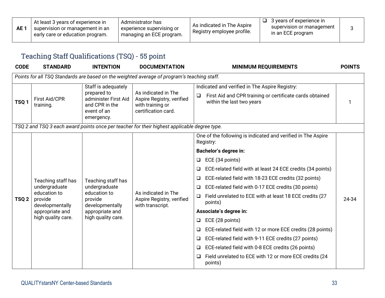| AE <sup>-</sup> | At least 3 years of experience in<br>'supervision or management in an<br>early care or education program. | Administrator has<br>experience supervising or<br>managing an ECE program. | As indicated in The Aspire<br>Registry employee profile. | 3 years of experience in<br>supervision or management<br>in an ECE program |  |
|-----------------|-----------------------------------------------------------------------------------------------------------|----------------------------------------------------------------------------|----------------------------------------------------------|----------------------------------------------------------------------------|--|
|-----------------|-----------------------------------------------------------------------------------------------------------|----------------------------------------------------------------------------|----------------------------------------------------------|----------------------------------------------------------------------------|--|

## Teaching Staff Qualifications (TSQ) - 55 point

| <b>CODE</b>      | <b>STANDARD</b>                            | <b>INTENTION</b>                                                                   | <b>DOCUMENTATION</b>                                                                         | <b>MINIMUM REQUIREMENTS</b>                                                                     | <b>POINTS</b> |
|------------------|--------------------------------------------|------------------------------------------------------------------------------------|----------------------------------------------------------------------------------------------|-------------------------------------------------------------------------------------------------|---------------|
|                  |                                            |                                                                                    | Points for all TSQ Standards are based on the weighted average of program's teaching staff.  |                                                                                                 |               |
|                  |                                            | Staff is adequately                                                                |                                                                                              | Indicated and verified in The Aspire Registry:                                                  |               |
| TSQ <sub>1</sub> | <b>First Aid/CPR</b><br>training.          | prepared to<br>administer First Aid<br>and CPR in the<br>event of an<br>emergency. | As indicated in The<br>Aspire Registry, verified<br>with training or<br>certification card.  | First Aid and CPR training or certificate cards obtained<br>$\Box$<br>within the last two years |               |
|                  |                                            |                                                                                    | TSQ 2 and TSQ 3 each award points once per teacher for their highest applicable degree type. |                                                                                                 |               |
|                  |                                            |                                                                                    |                                                                                              | One of the following is indicated and verified in The Aspire<br>Registry:                       |               |
|                  |                                            | Teaching staff has                                                                 |                                                                                              | <b>Bachelor's degree in:</b>                                                                    |               |
|                  | Teaching staff has                         |                                                                                    |                                                                                              | ECE (34 points)<br>$\Box$                                                                       |               |
|                  |                                            |                                                                                    |                                                                                              | ECE-related field with at least 24 ECE credits (34 points)<br>$\Box$                            |               |
|                  |                                            |                                                                                    |                                                                                              | ECE-related field with 18-23 ECE credits (32 points)<br>Q                                       |               |
|                  | undergraduate                              | undergraduate                                                                      |                                                                                              | ECE-related field with 0-17 ECE credits (30 points)<br>❏                                        |               |
| TSQ <sub>2</sub> | education to<br>provide<br>developmentally | education to<br>provide<br>developmentally                                         | As indicated in The<br>Aspire Registry, verified<br>with transcript.                         | Field unrelated to ECE with at least 18 ECE credits (27<br>$\Box$<br>points)                    | 24-34         |
|                  | appropriate and                            | appropriate and                                                                    |                                                                                              | Associate's degree in:                                                                          |               |
|                  | high quality care.                         | high quality care.                                                                 |                                                                                              | ECE (28 points)<br>❏                                                                            |               |
|                  |                                            |                                                                                    |                                                                                              | ECE-related field with 12 or more ECE credits (28 points)<br>$\Box$                             |               |
|                  |                                            |                                                                                    |                                                                                              | ECE-related field with 9-11 ECE credits (27 points)<br>❏                                        |               |
|                  |                                            |                                                                                    |                                                                                              | ECE-related field with 0-8 ECE credits (26 points)<br>$\Box$                                    |               |
|                  |                                            |                                                                                    |                                                                                              | Field unrelated to ECE with 12 or more ECE credits (24<br>⊔<br>points)                          |               |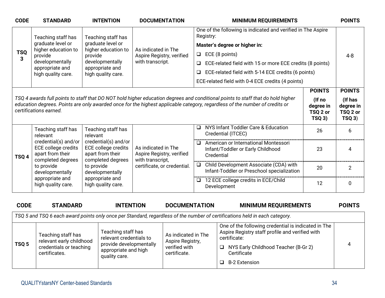| <b>CODE</b> | <b>STANDARD</b>                                                                                             | <b>INTENTION</b>                                                                     | <b>DOCUMENTATION</b>                                                 | <b>MINIMUM REQUIREMENTS</b>                                                                                                                                                                                                                                    |                                          | <b>POINTS</b>                             |  |
|-------------|-------------------------------------------------------------------------------------------------------------|--------------------------------------------------------------------------------------|----------------------------------------------------------------------|----------------------------------------------------------------------------------------------------------------------------------------------------------------------------------------------------------------------------------------------------------------|------------------------------------------|-------------------------------------------|--|
|             | Teaching staff has                                                                                          | Teaching staff has                                                                   |                                                                      | One of the following is indicated and verified in The Aspire<br>Registry:                                                                                                                                                                                      |                                          |                                           |  |
|             | graduate level or                                                                                           | graduate level or                                                                    |                                                                      | Master's degree or higher in:                                                                                                                                                                                                                                  |                                          |                                           |  |
| <b>TSQ</b>  | higher education to<br>provide                                                                              | higher education to<br>provide                                                       | As indicated in The<br>Aspire Registry, verified                     | ECE (8 points)<br>$\Box$                                                                                                                                                                                                                                       |                                          | $4 - 8$                                   |  |
| 3           | developmentally                                                                                             | developmentally                                                                      | with transcript.                                                     | ECE-related field with 15 or more ECE credits (8 points)<br>□                                                                                                                                                                                                  |                                          |                                           |  |
|             | appropriate and<br>high quality care.                                                                       | appropriate and<br>high quality care.                                                |                                                                      | ECE-related field with 5-14 ECE credits (6 points)<br>❏                                                                                                                                                                                                        |                                          |                                           |  |
|             |                                                                                                             |                                                                                      |                                                                      | ECE-related field with 0-4 ECE credits (4 points)                                                                                                                                                                                                              |                                          |                                           |  |
|             |                                                                                                             |                                                                                      |                                                                      |                                                                                                                                                                                                                                                                | <b>POINTS</b>                            | <b>POINTS</b>                             |  |
|             | certifications earned.                                                                                      |                                                                                      |                                                                      | TSQ 4 awards full points to staff that DO NOT hold higher education degrees and conditional points to staff that do hold higher<br>education degrees. Points are only awarded once for the highest applicable category, regardless of the number of credits or | (If no<br>degree in<br>TSQ 2 or<br>TSQ3) | (If has<br>degree in<br>TSQ 2 or<br>TSQ3) |  |
|             | Teaching staff has<br>relevant<br>credential(s) and/or<br>ECE college credits<br>apart from their           | Teaching staff has<br>relevant                                                       | As indicated in The<br>Aspire Registry, verified<br>with transcript, | NYS Infant Toddler Care & Education<br>□<br>Credential (ITCEC)                                                                                                                                                                                                 | 26                                       | 6                                         |  |
| TSQ 4       |                                                                                                             | credential(s) and/or<br>ECE college credits<br>apart from their<br>completed degrees |                                                                      | American or International Montessori<br>□<br>Infant/Toddler or Early Childhood<br>Credential                                                                                                                                                                   | 23                                       | 4                                         |  |
|             | completed degrees<br>to provide<br>developmentally                                                          | to provide<br>developmentally                                                        | certificate, or credential.                                          | Child Development Associate (CDA) with<br>Infant-Toddler or Preschool specialization                                                                                                                                                                           | 20                                       | $\overline{2}$                            |  |
|             | appropriate and<br>high quality care.                                                                       | appropriate and<br>high quality care.                                                |                                                                      | 12 ECE college credits in ECE/Child<br>$\Box$<br>Development                                                                                                                                                                                                   | 12                                       | 0                                         |  |
| <b>CODE</b> | <b>STANDARD</b><br><b>INTENTION</b><br><b>DOCUMENTATION</b><br><b>MINIMUM REQUIREMENTS</b><br><b>POINTS</b> |                                                                                      |                                                                      |                                                                                                                                                                                                                                                                |                                          |                                           |  |

|       | TSQ 5 and TSQ 6 each award points only once per Standard, regardless of the number of certifications held in each category. |                                                                                                                   |                                                                          |                                                                                                                                                                                                          |  |  |  |  |
|-------|-----------------------------------------------------------------------------------------------------------------------------|-------------------------------------------------------------------------------------------------------------------|--------------------------------------------------------------------------|----------------------------------------------------------------------------------------------------------------------------------------------------------------------------------------------------------|--|--|--|--|
| TSQ 5 | Teaching staff has<br>relevant early childhood<br>credentials or teaching<br>certificates.                                  | Teaching staff has<br>relevant credentials to<br>provide developmentally<br>appropriate and high<br>quality care. | As indicated in The<br>Aspire Registry,<br>verified with<br>certificate. | One of the following credential is indicated in The<br>Aspire Registry staff profile and verified with<br>certificate:<br>NYS Early Childhood Teacher (B-Gr 2)<br>$\Box$<br>Certificate<br>B-2 Extension |  |  |  |  |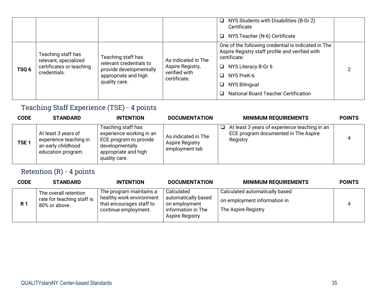|                  |                                                                                         |                                                                                                                   |                                                                          | $\Box$ NYS Students with Disabilities (B-Gr 2)<br>Certificate<br>□ NYS Teacher (N-6) Certificate                                                                                                                                           |  |
|------------------|-----------------------------------------------------------------------------------------|-------------------------------------------------------------------------------------------------------------------|--------------------------------------------------------------------------|--------------------------------------------------------------------------------------------------------------------------------------------------------------------------------------------------------------------------------------------|--|
| TSQ <sub>6</sub> | Teaching staff has<br>relevant, specialized<br>certificates or teaching<br>credentials. | Teaching staff has<br>relevant credentials to<br>provide developmentally<br>appropriate and high<br>quality care. | As indicated in The<br>Aspire Registry,<br>verified with<br>certificate. | One of the following credential is indicated in The<br>Aspire Registry staff profile and verified with<br>certificate:<br>NYS Literacy B-Gr 6<br>❏<br>NYS PreK-6<br>a<br>NYS Bilingual<br>⊔<br><b>National Board Teacher Certification</b> |  |

## Teaching Staff Experience (TSE) - 4 points

| <b>CODE</b>      | <b>STANDARD</b>                                                                           | <b>INTENTION</b>                                                                                                                     | <b>DOCUMENTATION</b>                                     | <b>MINIMUM REQUIREMENTS</b>                                                                       | <b>POINTS</b> |
|------------------|-------------------------------------------------------------------------------------------|--------------------------------------------------------------------------------------------------------------------------------------|----------------------------------------------------------|---------------------------------------------------------------------------------------------------|---------------|
| TSE <sub>1</sub> | At least 3 years of<br>experience teaching in<br>an early childhood<br>education program. | Teaching staff has<br>experience working in an<br>ECE program to provide<br>developmentally<br>appropriate and high<br>quality care. | As indicated in The<br>Aspire Registry<br>employment tab | At least 3 years of experience teaching in an<br>ECE program documented in The Aspire<br>Registry | 4             |

## Retention (R) - 4 points

| <b>CODE</b>    | <b>STANDARD</b>                                                      | <b>INTENTION</b>                                                                                        | <b>DOCUMENTATION</b>                                                                        | <b>MINIMUM REQUIREMENTS</b>                                                           | <b>POINTS</b> |
|----------------|----------------------------------------------------------------------|---------------------------------------------------------------------------------------------------------|---------------------------------------------------------------------------------------------|---------------------------------------------------------------------------------------|---------------|
| R <sub>1</sub> | The overall retention<br>rate for teaching staff is<br>80% or above. | The program maintains a<br>healthy work environment<br>that encourages staff to<br>continue employment. | Calculated<br>automatically based<br>on employment<br>information in The<br>Aspire Registry | Calculated automatically based<br>on employment information in<br>The Aspire Registry | 4             |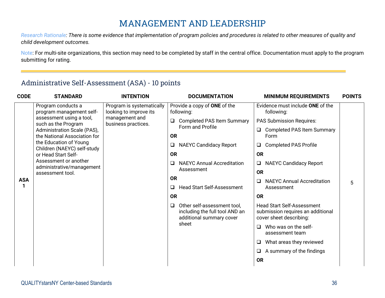## **MANAGEMENT AND LEADERSHIP**

*Research Rationale: There is some evidence that implementation of program policies and procedures is related to other measures of quality and child development outcomes.*

Note: For multi-site organizations, this section may need to be completed by staff in the central office. Documentation must apply to the program submitting for rating.

#### Administrative Self-Assessment (ASA) - 10 points

| <b>CODE</b> | <b>STANDARD</b>                                             | <b>INTENTION</b>                                    | <b>DOCUMENTATION</b>                       | <b>MINIMUM REQUIREMENTS</b>                                                                    | <b>POINTS</b>                                                                                     |  |
|-------------|-------------------------------------------------------------|-----------------------------------------------------|--------------------------------------------|------------------------------------------------------------------------------------------------|---------------------------------------------------------------------------------------------------|--|
|             | Program conducts a<br>program management self-              | Program is systematically<br>looking to improve its | Provide a copy of ONE of the<br>following: | Evidence must include ONE of the<br>following:                                                 |                                                                                                   |  |
|             | assessment using a tool,<br>such as the Program             | management and<br>business practices.               | <b>Completed PAS Item Summary</b>          | <b>PAS Submission Requires:</b>                                                                |                                                                                                   |  |
|             | Administration Scale (PAS),<br>the National Association for |                                                     | Form and Profile<br><b>OR</b>              | <b>Completed PAS Item Summary</b><br>Form                                                      |                                                                                                   |  |
|             | the Education of Young<br>Children (NAEYC) self-study       |                                                     | <b>NAEYC Candidacy Report</b><br>$\Box$    | <b>Completed PAS Profile</b><br>$\Box$                                                         |                                                                                                   |  |
|             | or Head Start Self-                                         |                                                     | <b>OR</b>                                  | <b>OR</b>                                                                                      |                                                                                                   |  |
|             | Assessment or another<br>administrative/management          |                                                     | <b>NAEYC Annual Accreditation</b><br>□     | <b>NAEYC Candidacy Report</b><br>$\Box$                                                        |                                                                                                   |  |
|             | assessment tool.                                            |                                                     |                                            | Assessment                                                                                     | <b>OR</b>                                                                                         |  |
| <b>ASA</b>  |                                                             |                                                     | <b>OR</b>                                  | <b>NAEYC Annual Accreditation</b><br>$\Box$                                                    | 5                                                                                                 |  |
|             |                                                             |                                                     | <b>Head Start Self-Assessment</b><br>□     | Assessment                                                                                     |                                                                                                   |  |
|             |                                                             |                                                     | <b>OR</b>                                  | <b>OR</b>                                                                                      |                                                                                                   |  |
|             |                                                             |                                                     |                                            | Other self-assessment tool,<br>Q<br>including the full tool AND an<br>additional summary cover | <b>Head Start Self-Assessment</b><br>submission requires an additional<br>cover sheet describing: |  |
|             |                                                             |                                                     | sheet                                      | Who was on the self-<br>$\Box$<br>assessment team                                              |                                                                                                   |  |
|             |                                                             |                                                     |                                            | What areas they reviewed<br>Q.                                                                 |                                                                                                   |  |
|             |                                                             |                                                     |                                            | A summary of the findings<br>$\Box$                                                            |                                                                                                   |  |
|             |                                                             |                                                     |                                            | <b>OR</b>                                                                                      |                                                                                                   |  |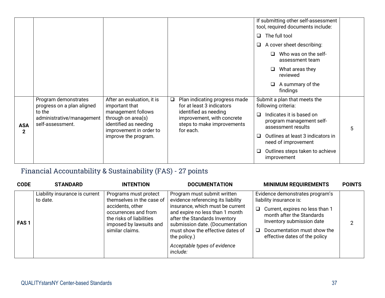|                            |                                                         |                                                                                                                      |                                                                                                | If submitting other self-assessment<br>tool, required documents include:                  |
|----------------------------|---------------------------------------------------------|----------------------------------------------------------------------------------------------------------------------|------------------------------------------------------------------------------------------------|-------------------------------------------------------------------------------------------|
|                            |                                                         |                                                                                                                      |                                                                                                | The full tool<br>❏                                                                        |
|                            |                                                         |                                                                                                                      |                                                                                                | A cover sheet describing:<br>❏                                                            |
|                            |                                                         |                                                                                                                      |                                                                                                | Who was on the self-<br>assessment team                                                   |
|                            |                                                         |                                                                                                                      |                                                                                                | What areas they<br>❏<br>reviewed                                                          |
|                            |                                                         |                                                                                                                      |                                                                                                | A summary of the<br>findings                                                              |
|                            | Program demonstrates<br>progress on a plan aligned      | After an evaluation, it is<br>important that                                                                         | Plan indicating progress made<br>for at least 3 indicators                                     | Submit a plan that meets the<br>following criteria:                                       |
| <b>ASA</b><br>$\mathbf{2}$ | to the<br>administrative/management<br>self-assessment. | management follows<br>through on area(s)<br>identified as needing<br>improvement in order to<br>improve the program. | identified as needing<br>improvement, with concrete<br>steps to make improvements<br>for each. | Indicates it is based on<br>$\Box$<br>program management self-<br>assessment results<br>5 |
|                            |                                                         |                                                                                                                      |                                                                                                | Outlines at least 3 indicators in<br>□<br>need of improvement                             |
|                            |                                                         |                                                                                                                      |                                                                                                | Outlines steps taken to achieve<br>improvement                                            |

## Financial Accountability & Sustainability (FAS) - 27 points

| <b>CODE</b>      | <b>STANDARD</b>                            | <b>INTENTION</b>                                                                                                                                                         | <b>DOCUMENTATION</b>                                                                                                                                                                                                                                                                                         | <b>MINIMUM REQUIREMENTS</b>                                                                                                                                                                                                           | <b>POINTS</b> |
|------------------|--------------------------------------------|--------------------------------------------------------------------------------------------------------------------------------------------------------------------------|--------------------------------------------------------------------------------------------------------------------------------------------------------------------------------------------------------------------------------------------------------------------------------------------------------------|---------------------------------------------------------------------------------------------------------------------------------------------------------------------------------------------------------------------------------------|---------------|
| FAS <sub>1</sub> | Liability insurance is current<br>to date. | Programs must protect<br>themselves in the case of<br>accidents, other<br>occurrences and from<br>the risks of liabilities<br>imposed by lawsuits and<br>similar claims. | Program must submit written<br>evidence referencing its liability<br>insurance, which must be current<br>and expire no less than 1 month<br>after the Standards Inventory<br>submission date. (Documentation<br>must show the effective dates of<br>the policy.)<br>Acceptable types of evidence<br>include: | Evidence demonstrates program's<br>liability insurance is:<br>$\Box$ Current, expires no less than 1<br>month after the Standards<br>Inventory submission date<br>$\Box$ Documentation must show the<br>effective dates of the policy | ≘             |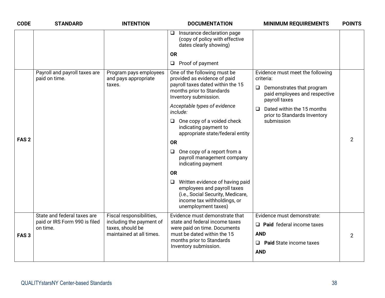| <b>CODE</b>      | <b>STANDARD</b>                                | <b>INTENTION</b>                                         | <b>DOCUMENTATION</b>                                                                                                                                                | <b>MINIMUM REQUIREMENTS</b>                                                        | <b>POINTS</b>  |
|------------------|------------------------------------------------|----------------------------------------------------------|---------------------------------------------------------------------------------------------------------------------------------------------------------------------|------------------------------------------------------------------------------------|----------------|
|                  |                                                |                                                          | Insurance declaration page<br>⊔<br>(copy of policy with effective<br>dates clearly showing)                                                                         |                                                                                    |                |
|                  |                                                |                                                          | <b>OR</b>                                                                                                                                                           |                                                                                    |                |
|                  |                                                |                                                          | $\Box$ Proof of payment                                                                                                                                             |                                                                                    |                |
|                  | Payroll and payroll taxes are<br>paid on time. | Program pays employees<br>and pays appropriate<br>taxes. | One of the following must be<br>provided as evidence of paid<br>payroll taxes dated within the 15                                                                   | Evidence must meet the following<br>criteria:                                      |                |
|                  |                                                |                                                          | months prior to Standards<br>Inventory submission.                                                                                                                  | $\Box$ Demonstrates that program<br>paid employees and respective<br>payroll taxes |                |
|                  |                                                |                                                          | Acceptable types of evidence<br>include:                                                                                                                            | Dated within the 15 months<br>$\Box$<br>prior to Standards Inventory               |                |
|                  |                                                |                                                          | One copy of a voided check<br>$\Box$<br>indicating payment to<br>appropriate state/federal entity                                                                   | submission                                                                         |                |
| FAS <sub>2</sub> |                                                |                                                          | <b>OR</b>                                                                                                                                                           |                                                                                    | $\overline{2}$ |
|                  |                                                |                                                          | One copy of a report from a<br>$\Box$<br>payroll management company<br>indicating payment                                                                           |                                                                                    |                |
|                  |                                                |                                                          | <b>OR</b>                                                                                                                                                           |                                                                                    |                |
|                  |                                                |                                                          | Written evidence of having paid<br>$\Box$<br>employees and payroll taxes<br>(i.e., Social Security, Medicare,<br>income tax withholdings, or<br>unemployment taxes) |                                                                                    |                |
|                  | State and federal taxes are                    | Fiscal responsibilities,                                 | Evidence must demonstrate that                                                                                                                                      | Evidence must demonstrate:                                                         |                |
|                  | paid or IRS Form 990 is filed<br>on time.      | including the payment of<br>taxes, should be             | state and federal income taxes<br>were paid on time. Documents                                                                                                      | $\Box$ Paid federal income taxes                                                   |                |
| FAS <sub>3</sub> |                                                | maintained at all times.                                 | must be dated within the 15                                                                                                                                         | <b>AND</b>                                                                         | $\overline{2}$ |
|                  |                                                |                                                          | months prior to Standards<br>Inventory submission.                                                                                                                  | $\Box$ Paid State income taxes                                                     |                |
|                  |                                                |                                                          |                                                                                                                                                                     | <b>AND</b>                                                                         |                |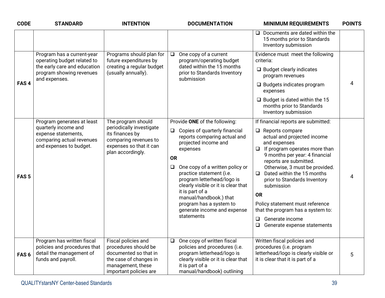| <b>CODE</b>      | <b>STANDARD</b>                                                                                                                        | <b>INTENTION</b>                                                                                                                              | <b>DOCUMENTATION</b>                                                                                                                                                                                                                                                                                                                                                                                                         | <b>MINIMUM REQUIREMENTS</b>                                                                                                                                                                                                                                                                                                                                                                                                                                                                            | <b>POINTS</b> |
|------------------|----------------------------------------------------------------------------------------------------------------------------------------|-----------------------------------------------------------------------------------------------------------------------------------------------|------------------------------------------------------------------------------------------------------------------------------------------------------------------------------------------------------------------------------------------------------------------------------------------------------------------------------------------------------------------------------------------------------------------------------|--------------------------------------------------------------------------------------------------------------------------------------------------------------------------------------------------------------------------------------------------------------------------------------------------------------------------------------------------------------------------------------------------------------------------------------------------------------------------------------------------------|---------------|
|                  |                                                                                                                                        |                                                                                                                                               |                                                                                                                                                                                                                                                                                                                                                                                                                              | $\Box$ Documents are dated within the<br>15 months prior to Standards<br>Inventory submission                                                                                                                                                                                                                                                                                                                                                                                                          |               |
| FAS <sub>4</sub> | Program has a current-year<br>operating budget related to<br>the early care and education<br>program showing revenues<br>and expenses. | Programs should plan for<br>future expenditures by<br>creating a regular budget<br>(usually annually).                                        | One copy of a current<br>$\Box$<br>program/operating budget<br>dated within the 15 months<br>prior to Standards Inventory<br>submission                                                                                                                                                                                                                                                                                      | Evidence must meet the following<br>criteria:<br>$\Box$ Budget clearly indicates<br>program revenues<br>$\Box$ Budgets indicates program<br>expenses<br>$\Box$ Budget is dated within the 15<br>months prior to Standards<br>Inventory submission                                                                                                                                                                                                                                                      | 4             |
| FAS <sub>5</sub> | Program generates at least<br>quarterly income and<br>expense statements,<br>comparing actual revenues<br>and expenses to budget.      | The program should<br>periodically investigate<br>its finances by<br>comparing revenues to<br>expenses so that it can<br>plan accordingly.    | Provide ONE of the following:<br>Copies of quarterly financial<br>$\Box$<br>reports comparing actual and<br>projected income and<br>expenses<br><b>OR</b><br>One copy of a written policy or<br>$\Box$<br>practice statement (i.e.<br>program letterhead/logo is<br>clearly visible or it is clear that<br>it is part of a<br>manual/handbook.) that<br>program has a system to<br>generate income and expense<br>statements | If financial reports are submitted:<br>$\Box$ Reports compare<br>actual and projected income<br>and expenses<br>If program operates more than<br>$\Box$<br>9 months per year: 4 financial<br>reports are submitted.<br>Otherwise, 3 must be provided.<br>Dated within the 15 months<br>$\Box$<br>prior to Standards Inventory<br>submission<br><b>OR</b><br>Policy statement must reference<br>that the program has a system to:<br>$\Box$<br>Generate income<br>$\Box$<br>Generate expense statements | 4             |
| FAS <sub>6</sub> | Program has written fiscal<br>policies and procedures that<br>detail the management of<br>funds and payroll.                           | Fiscal policies and<br>procedures should be<br>documented so that in<br>the case of changes in<br>management, these<br>important policies are | One copy of written fiscal<br>$\Box$<br>policies and procedures (i.e.<br>program letterhead/logo is<br>clearly visible or it is clear that<br>it is part of a<br>manual/handbook) outlining                                                                                                                                                                                                                                  | Written fiscal policies and<br>procedures (i.e. program<br>letterhead/logo is clearly visible or<br>it is clear that it is part of a                                                                                                                                                                                                                                                                                                                                                                   | 5             |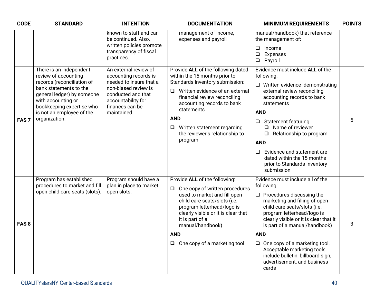| <b>CODE</b>      | <b>STANDARD</b>                                                                                                                                                                                                                        | <b>INTENTION</b>                                                                                                                                                                | <b>DOCUMENTATION</b>                                                                                                                                                                                                                                                                                                             | <b>MINIMUM REQUIREMENTS</b>                                                                                                                                                                                                                                                                                                                                                                                                   | <b>POINTS</b> |
|------------------|----------------------------------------------------------------------------------------------------------------------------------------------------------------------------------------------------------------------------------------|---------------------------------------------------------------------------------------------------------------------------------------------------------------------------------|----------------------------------------------------------------------------------------------------------------------------------------------------------------------------------------------------------------------------------------------------------------------------------------------------------------------------------|-------------------------------------------------------------------------------------------------------------------------------------------------------------------------------------------------------------------------------------------------------------------------------------------------------------------------------------------------------------------------------------------------------------------------------|---------------|
|                  |                                                                                                                                                                                                                                        | known to staff and can<br>be continued. Also,<br>written policies promote<br>transparency of fiscal<br>practices.                                                               | management of income,<br>expenses and payroll                                                                                                                                                                                                                                                                                    | manual/handbook) that reference<br>the management of:<br>$\Box$ Income<br>$\Box$ Expenses<br><b>Q</b> Payroll                                                                                                                                                                                                                                                                                                                 |               |
| FAS <sub>7</sub> | There is an independent<br>review of accounting<br>records (reconciliation of<br>bank statements to the<br>general ledger) by someone<br>with accounting or<br>bookkeeping expertise who<br>is not an employee of the<br>organization. | An external review of<br>accounting records is<br>needed to insure that a<br>non-biased review is<br>conducted and that<br>accountability for<br>finances can be<br>maintained. | Provide ALL of the following dated<br>within the 15 months prior to<br>Standards Inventory submission:<br>$\Box$ Written evidence of an external<br>financial review reconciling<br>accounting records to bank<br>statements<br><b>AND</b><br>$\Box$<br>Written statement regarding<br>the reviewer's relationship to<br>program | Evidence must include ALL of the<br>following:<br>$\Box$ Written evidence demonstrating<br>external review reconciling<br>accounting records to bank<br>statements<br><b>AND</b><br>Statement featuring:<br>Name of reviewer<br>$\Box$<br>$\Box$<br>Relationship to program<br><b>AND</b><br>Evidence and statement are<br>$\Box$<br>dated within the 15 months<br>prior to Standards Inventory<br>submission                 | 5             |
| FAS <sub>8</sub> | Program has established<br>procedures to market and fill<br>open child care seats (slots).                                                                                                                                             | Program should have a<br>plan in place to market<br>open slots.                                                                                                                 | Provide ALL of the following:<br>One copy of written procedures<br>$\Box$<br>used to market and fill open<br>child care seats/slots (i.e.<br>program letterhead/logo is<br>clearly visible or it is clear that<br>it is part of a<br>manual/handbook)<br><b>AND</b><br>One copy of a marketing tool<br>□                         | Evidence must include all of the<br>following:<br>$\Box$ Procedures discussing the<br>marketing and filling of open<br>child care seats/slots (i.e.<br>program letterhead/logo is<br>clearly visible or it is clear that it<br>is part of a manual/handbook)<br><b>AND</b><br>$\Box$ One copy of a marketing tool.<br>Acceptable marketing tools<br>include bulletin, billboard sign,<br>advertisement, and business<br>cards | 3             |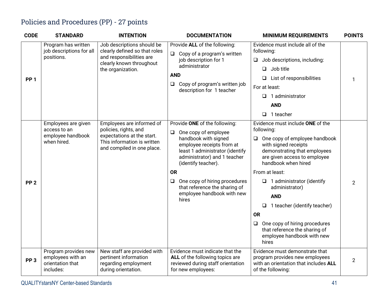## Policies and Procedures (PP) - 27 points

| <b>CODE</b>     | <b>STANDARD</b>                                                            | <b>INTENTION</b>                                                                                                                              | <b>DOCUMENTATION</b>                                                                                                                                                                                                                                                                                                              | <b>MINIMUM REQUIREMENTS</b>                                                                                                                                                                                                                                                                                                                                                                                                                                    | <b>POINTS</b>  |
|-----------------|----------------------------------------------------------------------------|-----------------------------------------------------------------------------------------------------------------------------------------------|-----------------------------------------------------------------------------------------------------------------------------------------------------------------------------------------------------------------------------------------------------------------------------------------------------------------------------------|----------------------------------------------------------------------------------------------------------------------------------------------------------------------------------------------------------------------------------------------------------------------------------------------------------------------------------------------------------------------------------------------------------------------------------------------------------------|----------------|
| PP <sub>1</sub> | Program has written<br>job descriptions for all<br>positions.              | Job descriptions should be<br>clearly defined so that roles<br>and responsibilities are<br>clearly known throughout<br>the organization.      | Provide ALL of the following:<br>$\Box$ Copy of a program's written<br>job description for 1<br>administrator<br><b>AND</b><br>Copy of program's written job<br>Q.<br>description for 1 teacher                                                                                                                                   | Evidence must include all of the<br>following:<br>Job descriptions, including:<br>$\Box$<br>Job title<br>$\Box$<br>List of responsibilities<br>For at least:<br>1 administrator<br>$\Box$<br><b>AND</b><br>1 teacher<br>$\Box$                                                                                                                                                                                                                                 |                |
| PP <sub>2</sub> | Employees are given<br>access to an<br>employee handbook<br>when hired.    | Employees are informed of<br>policies, rights, and<br>expectations at the start.<br>This information is written<br>and compiled in one place. | Provide ONE of the following:<br>$\Box$ One copy of employee<br>handbook with signed<br>employee receipts from at<br>least 1 administrator (identify<br>administrator) and 1 teacher<br>(identify teacher).<br><b>OR</b><br>One copy of hiring procedures<br>that reference the sharing of<br>employee handbook with new<br>hires | Evidence must include ONE of the<br>following:<br>One copy of employee handbook<br>$\Box$<br>with signed receipts<br>demonstrating that employees<br>are given access to employee<br>handbook when hired<br>From at least:<br>$\Box$ 1 administrator (identify<br>administrator)<br><b>AND</b><br>1 teacher (identify teacher)<br>❏<br><b>OR</b><br>One copy of hiring procedures<br>❏<br>that reference the sharing of<br>employee handbook with new<br>hires | $\overline{2}$ |
| PP <sub>3</sub> | Program provides new<br>employees with an<br>orientation that<br>includes: | New staff are provided with<br>pertinent information<br>regarding employment<br>during orientation.                                           | Evidence must indicate that the<br>ALL of the following topics are<br>reviewed during staff orientation<br>for new employees:                                                                                                                                                                                                     | Evidence must demonstrate that<br>program provides new employees<br>with an orientation that includes ALL<br>of the following:                                                                                                                                                                                                                                                                                                                                 | $\overline{2}$ |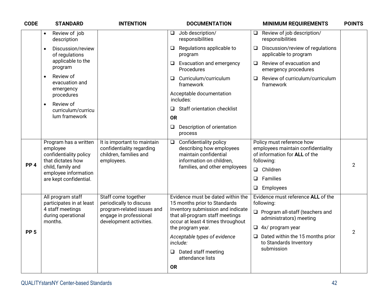| <b>STANDARD</b>                                                                                    | <b>INTENTION</b>                                                                                                                  | <b>DOCUMENTATION</b>                                                                                                                                                                                                                                                                                              | <b>MINIMUM REQUIREMENTS</b>                                                                                                                                                                                                         | <b>POINTS</b>                                           |
|----------------------------------------------------------------------------------------------------|-----------------------------------------------------------------------------------------------------------------------------------|-------------------------------------------------------------------------------------------------------------------------------------------------------------------------------------------------------------------------------------------------------------------------------------------------------------------|-------------------------------------------------------------------------------------------------------------------------------------------------------------------------------------------------------------------------------------|---------------------------------------------------------|
| Review of job<br>$\bullet$<br>description                                                          |                                                                                                                                   | Job description/<br>$\Box$<br>responsibilities                                                                                                                                                                                                                                                                    | Review of job description/<br>$\Box$<br>responsibilities                                                                                                                                                                            |                                                         |
| Discussion/review<br>$\bullet$<br>of regulations                                                   |                                                                                                                                   | Regulations applicable to<br>Q.<br>program                                                                                                                                                                                                                                                                        | Discussion/review of regulations<br>□<br>applicable to program                                                                                                                                                                      |                                                         |
| program                                                                                            |                                                                                                                                   | Evacuation and emergency<br>□<br>Procedures                                                                                                                                                                                                                                                                       | Review of evacuation and<br>$\Box$<br>emergency procedures                                                                                                                                                                          |                                                         |
| $\bullet$<br>evacuation and                                                                        |                                                                                                                                   | Curriculum/curriculum<br>O.<br>framework                                                                                                                                                                                                                                                                          | Review of curriculum/curriculum<br>❏<br>framework                                                                                                                                                                                   |                                                         |
| procedures                                                                                         |                                                                                                                                   | Acceptable documentation<br>includes:                                                                                                                                                                                                                                                                             |                                                                                                                                                                                                                                     |                                                         |
| curriculum/curricu                                                                                 |                                                                                                                                   | Staff orientation checklist<br>$\Box$                                                                                                                                                                                                                                                                             |                                                                                                                                                                                                                                     |                                                         |
| lum framework                                                                                      |                                                                                                                                   | <b>OR</b>                                                                                                                                                                                                                                                                                                         |                                                                                                                                                                                                                                     |                                                         |
|                                                                                                    |                                                                                                                                   | Description of orientation<br>$\Box$<br>process                                                                                                                                                                                                                                                                   |                                                                                                                                                                                                                                     |                                                         |
| Program has a written<br>employee<br>confidentiality policy<br>that dictates how                   | It is important to maintain<br>confidentiality regarding<br>children, families and<br>employees.                                  | <b>Confidentiality policy</b><br>$\Box$<br>describing how employees<br>maintain confidential<br>information on children,                                                                                                                                                                                          | Policy must reference how<br>employees maintain confidentiality<br>of information for ALL of the<br>following:                                                                                                                      | $\overline{2}$                                          |
| employee information                                                                               |                                                                                                                                   |                                                                                                                                                                                                                                                                                                                   |                                                                                                                                                                                                                                     |                                                         |
|                                                                                                    |                                                                                                                                   |                                                                                                                                                                                                                                                                                                                   |                                                                                                                                                                                                                                     |                                                         |
| All program staff<br>participates in at least<br>4 staff meetings<br>during operational<br>months. | Staff come together<br>periodically to discuss<br>program-related issues and<br>engage in professional<br>development activities. | Evidence must be dated within the<br>15 months prior to Standards<br>Inventory submission and indicate<br>that all-program staff meetings<br>occur at least 4 times throughout<br>the program year.<br>Acceptable types of evidence<br>include:<br>Dated staff meeting<br>$\Box$<br>attendance lists<br><b>OR</b> | Evidence must reference ALL of the<br>following:<br>$\Box$ Program all-staff (teachers and<br>administrators) meeting<br>$\Box$ 4x/ program year<br>$\Box$ Dated within the 15 months prior<br>to Standards Inventory<br>submission | $\overline{2}$                                          |
|                                                                                                    | applicable to the<br>Review of<br>emergency<br>Review of<br>$\bullet$<br>child, family and<br>are kept confidential.              |                                                                                                                                                                                                                                                                                                                   | families, and other employees                                                                                                                                                                                                       | $\Box$ Children<br>Families<br>$\Box$<br>Employees<br>❏ |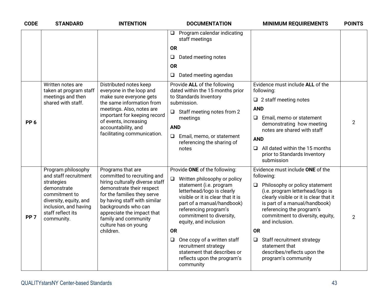| <b>CODE</b>     | <b>STANDARD</b>                                                                                                                                                                 | <b>INTENTION</b>                                                                                                                                                                                                                                                                                  | <b>DOCUMENTATION</b>                                                                                                                                                                                                                                                                                                                                                                                                                       | <b>MINIMUM REQUIREMENTS</b>                                                                                                                                                                                                                                                                                                                                                                                            | <b>POINTS</b>  |
|-----------------|---------------------------------------------------------------------------------------------------------------------------------------------------------------------------------|---------------------------------------------------------------------------------------------------------------------------------------------------------------------------------------------------------------------------------------------------------------------------------------------------|--------------------------------------------------------------------------------------------------------------------------------------------------------------------------------------------------------------------------------------------------------------------------------------------------------------------------------------------------------------------------------------------------------------------------------------------|------------------------------------------------------------------------------------------------------------------------------------------------------------------------------------------------------------------------------------------------------------------------------------------------------------------------------------------------------------------------------------------------------------------------|----------------|
|                 |                                                                                                                                                                                 |                                                                                                                                                                                                                                                                                                   | Program calendar indicating<br>□<br>staff meetings<br><b>OR</b><br>Dated meeting notes<br>❏<br><b>OR</b><br>Dated meeting agendas<br>$\Box$                                                                                                                                                                                                                                                                                                |                                                                                                                                                                                                                                                                                                                                                                                                                        |                |
| PP <sub>6</sub> | Written notes are<br>taken at program staff<br>meetings and then<br>shared with staff.                                                                                          | Distributed notes keep<br>everyone in the loop and<br>make sure everyone gets<br>the same information from<br>meetings. Also, notes are<br>important for keeping record<br>of events, increasing<br>accountability, and<br>facilitating communication.                                            | Provide ALL of the following<br>dated within the 15 months prior<br>to Standards Inventory<br>submission.<br>$\Box$ Staff meeting notes from 2<br>meetings<br><b>AND</b><br>Email, memo, or statement<br>$\Box$<br>referencing the sharing of<br>notes                                                                                                                                                                                     | Evidence must include ALL of the<br>following:<br>$\Box$ 2 staff meeting notes<br><b>AND</b><br>Email, memo or statement<br>Q.<br>demonstrating how meeting<br>notes are shared with staff<br><b>AND</b><br>All dated within the 15 months<br>□.<br>prior to Standards Inventory<br>submission                                                                                                                         | $\overline{2}$ |
| PP <sub>7</sub> | Program philosophy<br>and staff recruitment<br>strategies<br>demonstrate<br>commitment to<br>diversity, equity, and<br>inclusion, and having<br>staff reflect its<br>community. | Programs that are<br>committed to recruiting and<br>hiring culturally diverse staff<br>demonstrate their respect<br>for the families they serve<br>by having staff with similar<br>backgrounds who can<br>appreciate the impact that<br>family and community<br>culture has on young<br>children. | Provide ONE of the following:<br>Written philosophy or policy<br>$\Box$<br>statement (i.e. program<br>letterhead/logo is clearly<br>visible or it is clear that it is<br>part of a manual/handbook)<br>referencing program's<br>commitment to diversity,<br>equity, and inclusion<br><b>OR</b><br>One copy of a written staff<br>$\Box$<br>recruitment strategy<br>statement that describes or<br>reflects upon the program's<br>community | Evidence must include ONE of the<br>following:<br>Philosophy or policy statement<br>$\Box$<br>(i.e. program letterhead/logo is<br>clearly visible or it is clear that it<br>is part of a manual/handbook)<br>referencing the program's<br>commitment to diversity, equity,<br>and inclusion.<br><b>OR</b><br>$\Box$ Staff recruitment strategy<br>statement that<br>describes/reflects upon the<br>program's community | $\overline{2}$ |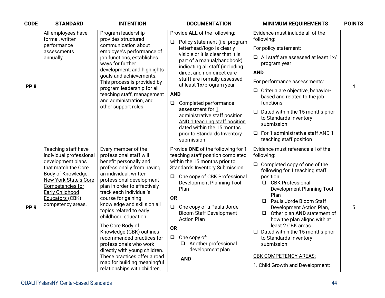| <b>CODE</b>     | <b>STANDARD</b>                                                                                                                                                                                                                        | <b>INTENTION</b>                                                                                                                                                                                                                                                                                                                                                                                                                                                                                                                                                       | <b>DOCUMENTATION</b>                                                                                                                                                                                                                                                                                                                                                                                                                                                                                                  | <b>MINIMUM REQUIREMENTS</b>                                                                                                                                                                                                                                                                                                                                                                                                                                                                                        | <b>POINTS</b> |
|-----------------|----------------------------------------------------------------------------------------------------------------------------------------------------------------------------------------------------------------------------------------|------------------------------------------------------------------------------------------------------------------------------------------------------------------------------------------------------------------------------------------------------------------------------------------------------------------------------------------------------------------------------------------------------------------------------------------------------------------------------------------------------------------------------------------------------------------------|-----------------------------------------------------------------------------------------------------------------------------------------------------------------------------------------------------------------------------------------------------------------------------------------------------------------------------------------------------------------------------------------------------------------------------------------------------------------------------------------------------------------------|--------------------------------------------------------------------------------------------------------------------------------------------------------------------------------------------------------------------------------------------------------------------------------------------------------------------------------------------------------------------------------------------------------------------------------------------------------------------------------------------------------------------|---------------|
| PP <sub>8</sub> | All employees have<br>formal, written<br>performance<br>assessments<br>annually.                                                                                                                                                       | Program leadership<br>provides structured<br>communication about<br>employee's performance of<br>job functions, establishes<br>ways for further<br>development, and highlights<br>goals and achievements.<br>This process is provided by<br>program leadership for all<br>teaching staff, management<br>and administration, and<br>other support roles.                                                                                                                                                                                                                | Provide ALL of the following:<br>Policy statement (i.e. program<br>❏<br>letterhead/logo is clearly<br>visible or it is clear that it is<br>part of a manual/handbook)<br>indicating all staff (including<br>direct and non-direct care<br>staff) are formally assessed<br>at least 1x/program year<br><b>AND</b><br>Completed performance<br>$\Box$<br>assessment for 1<br>administrative staff position<br>AND 1 teaching staff position<br>dated within the 15 months<br>prior to Standards Inventory<br>submission | Evidence must include all of the<br>following:<br>For policy statement:<br>$\Box$ All staff are assessed at least 1x/<br>program year<br><b>AND</b><br>For performance assessments:<br>□ Criteria are objective, behavior-<br>based and related to the job<br>functions<br>$\Box$ Dated within the 15 months prior<br>to Standards Inventory<br>submission<br>□ For 1 administrative staff AND 1<br>teaching staff position                                                                                        | 4             |
| PP <sub>9</sub> | Teaching staff have<br>individual professional<br>development plans<br>that match the Core<br>Body of Knowledge:<br><b>New York State's Core</b><br>Competencies for<br><b>Early Childhood</b><br>Educators (CBK)<br>competency areas. | Every member of the<br>professional staff will<br>benefit personally and<br>professionally from having<br>an individual, written<br>professional development<br>plan in order to effectively<br>track each individual's<br>course for gaining<br>knowledge and skills on all<br>topics related to early<br>childhood education.<br>The Core Body of<br>Knowledge (CBK) outlines<br>recommended practices for<br>professionals who work<br>directly with young children.<br>These practices offer a road<br>map for building meaningful<br>relationships with children, | Provide ONE of the following for 1<br>teaching staff position completed<br>within the 15 months prior to<br>Standards Inventory Submission.<br>□ One copy of CBK Professional<br><b>Development Planning Tool</b><br>Plan<br><b>OR</b><br>One copy of a Paula Jorde<br><b>Bloom Staff Development</b><br><b>Action Plan</b><br><b>OR</b><br>$\Box$ One copy of:<br>Another professional<br>development plan<br><b>AND</b>                                                                                             | Evidence must reference all of the<br>following:<br>$\Box$ Completed copy of one of the<br>following for 1 teaching staff<br>position:<br>□ CBK Professional<br><b>Development Planning Tool</b><br>Plan<br>□ Paula Jorde Bloom Staff<br>Development Action Plan,<br>$\Box$ Other plan AND statement of<br>how the plan aligns with at<br>least 2 CBK areas<br>$\Box$ Dated within the 15 months prior<br>to Standards Inventory<br>submission<br><b>CBK COMPETENCY AREAS:</b><br>1. Child Growth and Development; | 5             |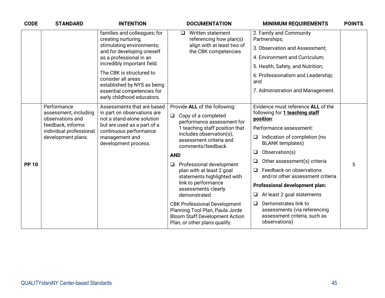| <b>CODE</b>  | <b>STANDARD</b>                                          | <b>INTENTION</b>                                                                        | <b>DOCUMENTATION</b>                                                                                                                             | <b>MINIMUM REQUIREMENTS</b>                                                                                | <b>POINTS</b> |
|--------------|----------------------------------------------------------|-----------------------------------------------------------------------------------------|--------------------------------------------------------------------------------------------------------------------------------------------------|------------------------------------------------------------------------------------------------------------|---------------|
|              |                                                          | families and colleagues; for<br>creating nurturing,                                     | Written statement<br>$\Box$<br>referencing how plan(s)                                                                                           | 2. Family and Community<br>Partnerships;                                                                   |               |
|              |                                                          | stimulating environments;<br>and for developing oneself                                 | align with at least two of<br>the CBK competencies                                                                                               | 3. Observation and Assessment:                                                                             |               |
|              |                                                          | as a professional in an                                                                 |                                                                                                                                                  | 4. Environment and Curriculum;                                                                             |               |
|              |                                                          | incredibly important field.                                                             |                                                                                                                                                  | 5. Health, Safety, and Nutrition;                                                                          |               |
|              |                                                          | The CBK is structured to<br>consider all areas<br>established by NYS as being           |                                                                                                                                                  | 6. Professionalism and Leadership;<br>and                                                                  |               |
|              |                                                          | essential competencies for<br>early childhood educators.                                |                                                                                                                                                  | 7. Administration and Management.                                                                          |               |
|              | Performance<br>assessment, including<br>observations and | Assessments that are based<br>in part on observations are<br>not a stand-alone solution | Provide ALL of the following:<br>$\Box$<br>Copy of a completed<br>performance assessment for                                                     | Evidence must reference ALL of the<br>following for 1 teaching staff<br>position:                          |               |
|              | feedback, informs<br>individual professional             | but are used as a part of a<br>continuous performance                                   | 1 teaching staff position that<br>includes observation(s),<br>$\Box$<br>assessment criteria and<br>comments/feedback                             | Performance assessment:                                                                                    |               |
|              | development plans.                                       | management and<br>development process.                                                  |                                                                                                                                                  | Indication of completion (no<br><b>BLANK</b> templates)                                                    |               |
|              |                                                          |                                                                                         | <b>AND</b>                                                                                                                                       | Observation(s)<br>❏                                                                                        |               |
| <b>PP 10</b> |                                                          |                                                                                         | Professional development<br>❏                                                                                                                    | Other assessment(s) criteria<br>$\Box$                                                                     | 5             |
|              |                                                          | plan with at least 2 goal<br>statements highlighted with                                | Feedback on observations<br>$\Box$<br>and/or other assessment criteria                                                                           |                                                                                                            |               |
|              |                                                          |                                                                                         | link to performance<br>assessments clearly<br>$\Box$<br>demonstrated                                                                             | Professional development plan:                                                                             |               |
|              |                                                          |                                                                                         |                                                                                                                                                  | At least 2 goal statements                                                                                 |               |
|              |                                                          |                                                                                         | <b>CBK Professional Development</b><br>Planning Tool Plan, Paula Jorde<br><b>Bloom Staff Development Action</b><br>Plan, or other plans qualify. | Demonstrates link to<br>❏<br>assessments (via referencing<br>assessment criteria, such as<br>observations) |               |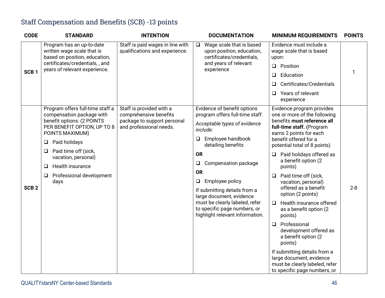## Staff Compensation and Benefits (SCB) -13 points

| <b>CODE</b>      | <b>STANDARD</b>                                                                                                                                                                                                                                                                                       | <b>INTENTION</b>                                                                                             | <b>DOCUMENTATION</b>                                                                                                                                                                                                                                                                                                                                                                                                      | <b>MINIMUM REQUIREMENTS</b>                                                                                                                                                                                                                                                                                                                                                                                                                                                                                                                                                                                                                                                  | <b>POINTS</b> |
|------------------|-------------------------------------------------------------------------------------------------------------------------------------------------------------------------------------------------------------------------------------------------------------------------------------------------------|--------------------------------------------------------------------------------------------------------------|---------------------------------------------------------------------------------------------------------------------------------------------------------------------------------------------------------------------------------------------------------------------------------------------------------------------------------------------------------------------------------------------------------------------------|------------------------------------------------------------------------------------------------------------------------------------------------------------------------------------------------------------------------------------------------------------------------------------------------------------------------------------------------------------------------------------------------------------------------------------------------------------------------------------------------------------------------------------------------------------------------------------------------------------------------------------------------------------------------------|---------------|
| SCB <sub>1</sub> | Program has an up-to-date<br>written wage scale that is<br>based on position, education,<br>certificates/credentials,, and<br>years of relevant experience.                                                                                                                                           | Staff is paid wages in line with<br>qualifications and experience.                                           | Wage scale that is based<br>$\Box$<br>upon position, education,<br>certificates/credentials,<br>and years of relevant<br>experience                                                                                                                                                                                                                                                                                       | Evidence must include a<br>wage scale that is based<br>upon:<br>Position<br>$\Box$<br>Education<br>❏<br>Certificates/Credentials<br>$\Box$<br>Years of relevant<br>$\Box$<br>experience                                                                                                                                                                                                                                                                                                                                                                                                                                                                                      |               |
| SCB <sub>2</sub> | Program offers full-time staff a<br>compensation package with<br>benefit options: (2 POINTS<br>PER BENEFIT OPTION, UP TO 8<br>POINTS MAXIMUM)<br>Paid holidays<br>$\Box$<br>Paid time off (sick,<br>⊔<br>vacation, personal)<br><b>Health insurance</b><br>◻<br>Professional development<br>□<br>days | Staff is provided with a<br>comprehensive benefits<br>package to support personal<br>and professional needs. | Evidence of benefit options<br>program offers full-time staff.<br>Acceptable types of evidence<br>include:<br>Employee handbook<br>$\Box$<br>detailing benefits<br><b>OR</b><br>Compensation package<br>$\Box$<br><b>OR</b><br>$\Box$<br>Employee policy<br>If submitting details from a<br>large document, evidence<br>must be clearly labeled, refer<br>to specific page numbers, or<br>highlight relevant information. | Evidence program provides<br>one or more of the following<br>benefits must reference all<br>full-time staff. (Program<br>earns 2 points for each<br>benefit offered for a<br>potential total of 8 points)<br>Paid holidays offered as<br>❏<br>a benefit option (2<br>points)<br>Paid time off (sick,<br>$\Box$<br>vacation, personal)<br>offered as a benefit<br>option (2 points)<br>Health insurance offered<br>❏<br>as a benefit option (2<br>points)<br>Professional<br>$\Box$<br>development offered as<br>a benefit option (2<br>points)<br>If submitting details from a<br>large document, evidence<br>must be clearly labeled, refer<br>to specific page numbers, or | $2 - 8$       |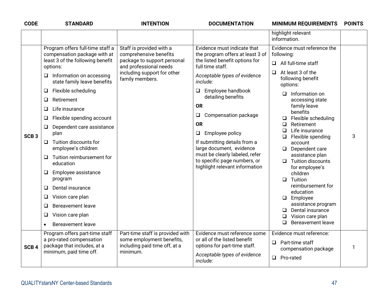| <b>CODE</b>      | <b>STANDARD</b>                                                                                                                                                                                                                                                                                                                                                                                                                                                                                                                                                                                     | <b>INTENTION</b>                                                                                                                                              | <b>DOCUMENTATION</b>                                                                                                                                                                                                                                                                                                                                                                                                                                                       | <b>MINIMUM REQUIREMENTS</b>                                                                                                                                                                                                                                                                                                                                                                                                                                                                                                                                                                        | <b>POINTS</b> |
|------------------|-----------------------------------------------------------------------------------------------------------------------------------------------------------------------------------------------------------------------------------------------------------------------------------------------------------------------------------------------------------------------------------------------------------------------------------------------------------------------------------------------------------------------------------------------------------------------------------------------------|---------------------------------------------------------------------------------------------------------------------------------------------------------------|----------------------------------------------------------------------------------------------------------------------------------------------------------------------------------------------------------------------------------------------------------------------------------------------------------------------------------------------------------------------------------------------------------------------------------------------------------------------------|----------------------------------------------------------------------------------------------------------------------------------------------------------------------------------------------------------------------------------------------------------------------------------------------------------------------------------------------------------------------------------------------------------------------------------------------------------------------------------------------------------------------------------------------------------------------------------------------------|---------------|
|                  |                                                                                                                                                                                                                                                                                                                                                                                                                                                                                                                                                                                                     |                                                                                                                                                               |                                                                                                                                                                                                                                                                                                                                                                                                                                                                            | highlight relevant<br>information.                                                                                                                                                                                                                                                                                                                                                                                                                                                                                                                                                                 |               |
| SCB <sub>3</sub> | Program offers full-time staff a<br>compensation package with at<br>least 3 of the following benefit<br>options:<br>Information on accessing<br>Q<br>state family leave benefits<br>Flexible scheduling<br>⊔<br>Retirement<br>❏<br>Life insurance<br>Q<br>Flexible spending account<br>⊔<br>Dependent care assistance<br>$\Box$<br>plan<br>Tuition discounts for<br>$\Box$<br>employee's children<br>Tuition reimbursement for<br>⊔<br>education<br>Employee assistance<br>Q<br>program<br>Dental insurance<br>Q<br>Vision care plan<br>❏<br><b>Bereavement leave</b><br>❏<br>Vision care plan<br>⊔ | Staff is provided with a<br>comprehensive benefits<br>package to support personal<br>and professional needs<br>including support for other<br>family members. | Evidence must indicate that<br>the program offers at least 3 of<br>the listed benefit options for<br>full time staff.<br>Acceptable types of evidence<br>include:<br>Employee handbook<br>Q<br>detailing benefits<br><b>OR</b><br>$\Box$<br>Compensation package<br><b>OR</b><br>Employee policy<br>$\Box$<br>If submitting details from a<br>large document, evidence<br>must be clearly labeled, refer<br>to specific page numbers, or<br>highlight relevant information | Evidence must reference the<br>following:<br>All full-time staff<br>$\Box$<br>At least 3 of the<br>$\Box$<br>following benefit<br>options:<br>$\Box$ Information on<br>accessing state<br>family leave<br>benefits<br>Flexible scheduling<br>$\Box$<br>Retirement<br>□<br>Life insurance<br>□<br>Flexible spending<br>$\Box$<br>account<br>$\Box$ Dependent care<br>assistance plan<br>Tuition discounts<br>$\Box$<br>for employee's<br>children<br>Tuition<br>$\Box$<br>reimbursement for<br>education<br>$\Box$ Employee<br>assistance program<br>Dental insurance<br>❏<br>Vision care plan<br>❏ | 3             |
| SCB <sub>4</sub> | <b>Bereavement leave</b><br>$\bullet$<br>Program offers part-time staff<br>a pro-rated compensation<br>package that includes, at a<br>minimum, paid time off.                                                                                                                                                                                                                                                                                                                                                                                                                                       | Part-time staff is provided with<br>some employment benefits,<br>including paid time off, at a<br>minimum.                                                    | Evidence must reference some<br>or all of the listed benefit<br>options for part-time staff.<br>Acceptable types of evidence<br>include:                                                                                                                                                                                                                                                                                                                                   | Bereavement leave<br><b>□</b><br>Evidence must reference:<br>$\Box$ Part-time staff<br>compensation package<br>□ Pro-rated                                                                                                                                                                                                                                                                                                                                                                                                                                                                         | 1             |
|                  |                                                                                                                                                                                                                                                                                                                                                                                                                                                                                                                                                                                                     |                                                                                                                                                               |                                                                                                                                                                                                                                                                                                                                                                                                                                                                            |                                                                                                                                                                                                                                                                                                                                                                                                                                                                                                                                                                                                    |               |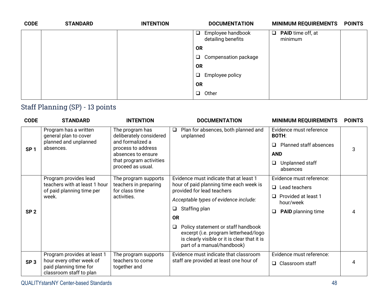| <b>CODE</b> | <b>STANDARD</b> | <b>INTENTION</b> | <b>DOCUMENTATION</b>                              | <b>MINIMUM REQUIREMENTS</b>         | <b>POINTS</b> |
|-------------|-----------------|------------------|---------------------------------------------------|-------------------------------------|---------------|
|             |                 |                  | Employee handbook<br>$\Box$<br>detailing benefits | $\Box$ PAID time off, at<br>minimum |               |
|             |                 |                  | <b>OR</b>                                         |                                     |               |
|             |                 |                  | Compensation package<br>$\Box$                    |                                     |               |
|             |                 |                  | <b>OR</b>                                         |                                     |               |
|             |                 |                  | Employee policy<br>$\Box$                         |                                     |               |
|             |                 |                  | <b>OR</b>                                         |                                     |               |
|             |                 |                  | Other<br>$\Box$                                   |                                     |               |
|             |                 |                  |                                                   |                                     |               |

## Staff Planning (SP) - 13 points

| <b>CODE</b>     | <b>STANDARD</b>                                                               | <b>INTENTION</b>                             | <b>DOCUMENTATION</b>                                                                                                                                                | <b>MINIMUM REQUIREMENTS</b>                | <b>POINTS</b> |
|-----------------|-------------------------------------------------------------------------------|----------------------------------------------|---------------------------------------------------------------------------------------------------------------------------------------------------------------------|--------------------------------------------|---------------|
|                 | Program has a written<br>general plan to cover                                | The program has<br>deliberately considered   | Plan for absences, both planned and<br>$\Box$<br>unplanned                                                                                                          | Evidence must reference<br><b>BOTH:</b>    |               |
| SP <sub>1</sub> | planned and unplanned<br>absences.                                            | and formalized a<br>process to address       |                                                                                                                                                                     | <b>Planned staff absences</b><br>$\Box$    | 3             |
|                 |                                                                               | absences to ensure                           |                                                                                                                                                                     | <b>AND</b>                                 |               |
|                 |                                                                               | that program activities<br>proceed as usual. |                                                                                                                                                                     | Unplanned staff<br>□<br>absences           |               |
|                 | Program provides lead                                                         | The program supports                         | Evidence must indicate that at least 1                                                                                                                              | Evidence must reference:                   |               |
|                 | teachers with at least 1 hour<br>of paid planning time per                    | teachers in preparing<br>for class time      | hour of paid planning time each week is<br>provided for lead teachers                                                                                               | $\Box$ Lead teachers                       |               |
|                 | week.                                                                         | activities.                                  | Acceptable types of evidence include:                                                                                                                               | Provided at least 1<br>$\Box$<br>hour/week |               |
| SP <sub>2</sub> |                                                                               |                                              | Staffing plan<br>Q                                                                                                                                                  | <b>PAID</b> planning time<br>❏             |               |
|                 |                                                                               |                                              | <b>OR</b>                                                                                                                                                           |                                            |               |
|                 |                                                                               |                                              | Policy statement or staff handbook<br>$\Box$<br>excerpt (i.e. program letterhead/logo<br>is clearly visible or it is clear that it is<br>part of a manual/handbook) |                                            |               |
|                 | Program provides at least 1                                                   | The program supports                         | Evidence must indicate that classroom                                                                                                                               | Evidence must reference:                   |               |
| SP <sub>3</sub> | hour every other week of<br>paid planning time for<br>classroom staff to plan | teachers to come<br>together and             | staff are provided at least one hour of                                                                                                                             | $\Box$ Classroom staff                     |               |